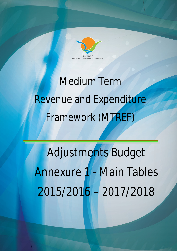

# Medium Term Revenue and Expenditure Framework (MTREF)

Adjustments Budget Annexure 1 - Main Tables 2015/2016 – 2017/2018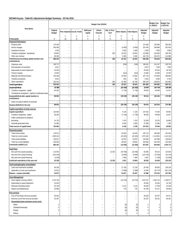# **WC048 Knysna - Table B1 Adjustments Budget Summary - 25 Feb 2016**

|                                                                       |                               |                                                      |                                      |                                                      | Budget Year 2015/16                                  |                                    |                          |                          |                           | <b>Budget Year</b><br>+1 2016/17 | <b>Budget Year</b><br>+2 2017/18 |
|-----------------------------------------------------------------------|-------------------------------|------------------------------------------------------|--------------------------------------|------------------------------------------------------|------------------------------------------------------|------------------------------------|--------------------------|--------------------------|---------------------------|----------------------------------|----------------------------------|
| Description                                                           | Original<br><b>Budget</b>     |                                                      | Prior Adjusted Accum. Funds          | Multi-year<br>capital                                | Unfore.<br>Unavoid.                                  | Nat. or Prov.<br>Govt              | <b>Other Adjusts</b>     | <b>Total Adjusts.</b>    | Adjusted<br><b>Budget</b> | Adjusted<br><b>Budget</b>        | Adjusted<br>Budget               |
| R thousands                                                           | Α                             | $\mathbf{1}$<br>A1                                   | $\overline{c}$<br>B                  | 3<br>С                                               | $\overline{4}$<br>D                                  | 5<br>Ε                             | 6<br>F                   | $\overline{7}$<br>G      | 8<br>H                    |                                  |                                  |
| <b>Financial Performance</b>                                          |                               |                                                      |                                      |                                                      |                                                      |                                    |                          |                          |                           |                                  |                                  |
| Property rates                                                        | 174 430                       | $\overline{\phantom{a}}$                             | -                                    | $\overline{\phantom{a}}$                             | $\overline{\phantom{a}}$                             | $\overline{\phantom{a}}$           | $\overline{\phantom{0}}$ | ÷,                       | 174 430                   | 191 866                          | 205 364                          |
| Service charges                                                       | 300 395                       |                                                      |                                      |                                                      |                                                      |                                    | (3000)                   | (3000)                   | 297 395                   | 348 898                          | 387 924                          |
| Investment revenue                                                    | 3 2 0 0                       | $\overline{\phantom{a}}$                             | ۰                                    | $\overline{\phantom{a}}$                             | ۰                                                    | ٠                                  | 2 0 0 0                  | 2 0 0 0                  | 5 200                     | 3 4 0 0                          | 3 6 0 0                          |
| Transfers recognised - operational                                    | 93 803                        | $\overline{\phantom{a}}$                             | ÷                                    | $\overline{a}$                                       | $\overline{\phantom{0}}$                             | 300                                | 19 763                   | 20 063                   | 113 866                   | 104 483                          | 108 783                          |
| Other own revenue                                                     | 96 393                        | $\overline{\phantom{a}}$                             | -                                    | $\overline{\phantom{a}}$                             | $\overline{\phantom{a}}$                             | $\overline{\phantom{a}}$           | 5 3 6 0                  | 5 3 6 0                  | 101 753                   | 104 973                          | 114 889                          |
| Total Revenue (excluding capital transfers and<br>contributions)      | 668 222                       | $\overline{\phantom{a}}$                             | $\overline{\phantom{a}}$             | $\overline{\phantom{a}}$                             | $\overline{\phantom{a}}$                             | 300                                | 24 123                   | 24 4 23                  | 692 645                   | 753 620                          | 820 560                          |
| Employee costs                                                        | 196 737                       | $\overline{\phantom{a}}$                             | $\qquad \qquad -$                    | $\sim$                                               | $\overline{\phantom{0}}$                             | $\overline{\phantom{a}}$           | (246)                    | (246)                    | 196 491                   | 214 147                          | 228 781                          |
| Remuneration of councillors                                           | 6817                          |                                                      | $\overline{\phantom{0}}$             | $\overline{\phantom{a}}$                             | $\equiv$                                             | $\overline{\phantom{a}}$           | $\qquad \qquad -$        | $\overline{\phantom{a}}$ | 6817                      | 7 2 9 4                          | 7804                             |
| Depreciation & asset impairment                                       | 25 918                        | $\overline{\phantom{a}}$                             | $\overline{\phantom{0}}$             | $\overline{\phantom{a}}$                             | $\overline{\phantom{a}}$                             | ٠                                  | $\equiv$                 | $\overline{\phantom{a}}$ | 25 918                    | 32 544                           | 34 749                           |
| Finance charges                                                       | 13 962                        | $\overline{\phantom{m}}$                             | $\qquad \qquad -$                    | $\overline{\phantom{m}}$                             | $\qquad \qquad -$                                    | $\overline{\phantom{m}}$           | (312)                    | (312)                    | 13 650                    | 15 586                           | 16 520                           |
| Materials and bulk purchases                                          | 154 328                       |                                                      | ÷                                    | $\overline{\phantom{a}}$                             | ÷                                                    | $\overline{\phantom{a}}$           | 13 393                   | 13 3 9 3                 | 167 720                   | 174 825                          | 189 690                          |
| Transfers and grants                                                  | 5 6 3 1                       |                                                      | $\overline{\phantom{0}}$             | $\overline{\phantom{a}}$                             | $\overline{\phantom{0}}$                             | $\sim$                             | 291                      | 291                      | 5922                      | 5 6 6 5                          | 5781                             |
| Other expenditure                                                     | 232 441<br>635 833            | $\overline{\phantom{a}}$<br>$\overline{\phantom{a}}$ | ۰<br>$\sim$                          | $\overline{\phantom{a}}$                             | $\qquad \qquad -$                                    | 300<br>300                         | 32 408                   | 32 708                   | 265 149<br>681 666        | 195 822                          | 201 865<br>685 191               |
| <b>Total Expenditure</b>                                              |                               | $\overline{\phantom{a}}$                             | $\overline{\phantom{a}}$             | $\overline{\phantom{a}}$<br>$\overline{\phantom{a}}$ | $\overline{\phantom{a}}$<br>$\overline{\phantom{a}}$ | $\overline{\phantom{a}}$           | 45 533                   | 45 833                   | 10 979                    | 645 882                          | 135 369                          |
| Surplus/(Deficit)<br>Transfers recognised - capital                   | 32 388<br>56 265              |                                                      |                                      |                                                      |                                                      |                                    | (21 410)<br>(7730)       | (21 410)<br>(7730)       | 48 535                    | 107 738<br>46 586                | 41 027                           |
| Contributions recognised - capital & contributed assets               |                               | $\sim$                                               | $\overline{\phantom{0}}$             | $\overline{\phantom{a}}$                             | ۰                                                    | $\overline{\phantom{a}}$           | ÷                        |                          | $\overline{\phantom{a}}$  | L.                               | $\overline{\phantom{a}}$         |
| Surplus/(Deficit) after capital transfers &<br>contributions          | 88 653                        | $\overline{\phantom{a}}$                             | $\sim$                               | $\sim$                                               | $\overline{\phantom{a}}$                             | $\overline{\phantom{a}}$           | (29139)                  | (29139)                  | 59 514                    | 154 324                          | 176 396                          |
| Share of surplus/ (deficit) of associate                              | $\overline{\phantom{a}}$      | $\overline{\phantom{a}}$                             | $\overline{\phantom{a}}$             | $\overline{\phantom{a}}$                             | $\overline{\phantom{0}}$                             | $\overline{\phantom{a}}$           | $\overline{\phantom{0}}$ | $\sim$                   | $\overline{\phantom{a}}$  | $\sim$                           | $\sim$                           |
| Surplus/ (Deficit) for the year                                       | 88 653                        | $\overline{\phantom{a}}$                             | $\overline{\phantom{a}}$             | $\overline{a}$                                       | $\overline{\phantom{a}}$                             | $\overline{\phantom{a}}$           | (29139)                  | (29139)                  | 59 514                    | 154 324                          | 176 396                          |
|                                                                       |                               |                                                      |                                      |                                                      |                                                      |                                    |                          |                          |                           |                                  |                                  |
| Capital expenditure & funds sources<br>Capital expenditure            | 102 683                       |                                                      |                                      |                                                      |                                                      |                                    | 5 1 2 8                  | 5 1 2 8                  | 107 810                   | 70 240                           | 58 992                           |
| Transfers recognised - capital                                        | 56 265                        | $\overline{\phantom{a}}$                             | ۰                                    | $\overline{\phantom{a}}$                             | $\overline{\phantom{a}}$                             | ٠                                  | (7730)                   | (7730)                   | 48 535                    | 46 586                           | 41 027                           |
| Public contributions & donations                                      |                               | $\overline{\phantom{a}}$                             | $\overline{\phantom{0}}$             | $\overline{a}$                                       | $\overline{\phantom{0}}$                             | $\overline{\phantom{a}}$           | $\qquad \qquad -$        | $\overline{a}$           | $\overline{\phantom{0}}$  | $\overline{\phantom{0}}$         |                                  |
| Borrowing                                                             | 14 7 32                       |                                                      | ۰                                    | $\overline{\phantom{a}}$                             | ٠                                                    | ۰                                  | 7474                     | 7474                     | 22 20 6                   | 12 570                           | 10 660                           |
| Internally generated funds                                            | 31 686                        |                                                      | ÷                                    |                                                      |                                                      |                                    | 5 3 8 3                  | 5 3 8 3                  | 37 069                    | 11 084                           | 7 3 0 5                          |
| Total sources of capital funds                                        | 102 683                       | $\overline{\phantom{a}}$                             | ÷,                                   | $\rightarrow$                                        | ۰                                                    | $\rightarrow$                      | 5 1 28                   | 5 1 28                   | 107810                    | 70 240                           | 58 992                           |
|                                                                       |                               |                                                      |                                      |                                                      |                                                      |                                    |                          |                          |                           |                                  |                                  |
| <b>Financial position</b><br>Total current assets                     | 120 513                       |                                                      |                                      |                                                      |                                                      |                                    | 40 200                   | 40 200                   | 160 713                   | 186 388                          | 242 694                          |
| Total non current assets                                              | 1 096 615                     | $\overline{\phantom{a}}$                             | ۰                                    | $\overline{\phantom{a}}$                             | $\overline{\phantom{a}}$                             | $\sim$                             | (22 420)                 | (22 420)                 | 1074 195                  | 1 114 891                        | 1 142 134                        |
| Total current liabilities                                             | 105 627                       | $\overline{\phantom{a}}$                             | ÷                                    | $\overline{a}$                                       |                                                      | $\overline{\phantom{a}}$           | 10879                    | 10879                    | 116 506                   | 122 389                          | 128 625                          |
| Total non current liabilities                                         | 226 004                       |                                                      | ٠                                    |                                                      |                                                      | $\overline{\phantom{0}}$           | 18 9 32                  | 18 9 32                  | 244 935                   | 234 796                          | 225 490                          |
| Community wealth/Equity                                               | 885 497                       | $\sim$                                               | $\overline{\phantom{a}}$             | $\overline{\phantom{0}}$                             | $\overline{\phantom{a}}$                             | $\sim$                             | (12030)                  | (12030)                  | 873 467                   | 944 094                          | 1 030 713                        |
|                                                                       |                               |                                                      |                                      |                                                      |                                                      |                                    |                          |                          |                           |                                  |                                  |
| Cash flows<br>Net cash from (used) operating                          | 115 053                       |                                                      |                                      |                                                      |                                                      | 12 3 3 3                           | (44780)                  | (32446)                  | 82 606                    | 98 123                           | 123 829                          |
| Net cash from (used) investing                                        | (103444)                      |                                                      |                                      |                                                      |                                                      |                                    | (6690)                   | (6690)                   | (110133)                  | (72563)                          | (61315)                          |
| Net cash from (used) financing                                        | (4536)                        | $\overline{\phantom{a}}$                             | $\overline{\phantom{0}}$             | $\qquad \qquad -$                                    | $\qquad \qquad -$                                    | $\overline{\phantom{a}}$           | 7466                     | 7466                     | 2931                      | (7333)                           | (13940)                          |
| Cash/cash equivalents at the year end                                 | 22 338                        | $\overline{a}$                                       | $\overline{\phantom{0}}$             | $\overline{\phantom{m}}$                             | $\overline{\phantom{0}}$                             | 12 3 3 3                           | 1631                     | 13 964                   | 36 302                    | 54 530                           | 103 103                          |
|                                                                       |                               |                                                      |                                      |                                                      |                                                      |                                    |                          |                          |                           |                                  |                                  |
| Cash backing/surplus reconciliation<br>Cash and investments available | 46 195                        |                                                      | $\qquad \qquad -$                    | $\overline{a}$                                       | $\qquad \qquad -$                                    | ۰                                  | 17 139                   | 17 139                   | 63 3 3 4                  | 84 563                           | 136 136                          |
| Application of cash and investments                                   | 22 5 23                       |                                                      | $\overline{\phantom{0}}$             | $\qquad \qquad -$                                    |                                                      | $\overline{\phantom{m}}$           | (7068)                   | (7068)                   | 15 4 55                   | (91747)                          | (101 214)                        |
| Balance - surplus (shortfall)                                         | 23 672                        | $\overline{\phantom{a}}$                             | $\overline{\phantom{0}}$             | $\overline{\phantom{a}}$                             | ÷,                                                   | $\overline{\phantom{a}}$           | 24 207                   | 24 207                   | 47880                     | 176 310                          | 237 350                          |
|                                                                       |                               |                                                      |                                      |                                                      |                                                      |                                    |                          |                          |                           |                                  |                                  |
| <b>Asset Management</b>                                               |                               |                                                      |                                      |                                                      |                                                      |                                    |                          |                          |                           |                                  |                                  |
| Asset register summary (WDV)                                          | 1070 790                      | $\overline{\phantom{m}}$                             | $\qquad \qquad -$                    | $\qquad \qquad -$                                    | $\qquad \qquad -$                                    | $\overline{\phantom{a}}$           | (23753)                  | (23753)                  | 1 047 037                 | 1084734                          | 1 108 977                        |
| Depreciation & asset impairment                                       | 25 918                        |                                                      | $\qquad \qquad -$                    | $\qquad \qquad -$                                    | $\overline{\phantom{0}}$                             | $\overline{\phantom{a}}$           | $\overline{\phantom{0}}$ | $\overline{\phantom{a}}$ | 25 918                    | 32 544                           | 34 749                           |
| Renewal of Existing Assets<br>Repairs and Maintenance                 | 35 139<br>42 968              | $\overline{\phantom{a}}$                             | $\qquad \qquad -$<br>$\equiv$        | $\qquad \qquad -$                                    | $\equiv$<br>$\equiv$                                 | $\overline{\phantom{a}}$<br>$\sim$ | 5 1 1 2<br>770           | 5 1 1 2<br>770           | 40 250<br>43738           | 17 24 6<br>44 117                | 15 3 36<br>46 655                |
|                                                                       |                               |                                                      |                                      |                                                      |                                                      |                                    |                          |                          |                           |                                  |                                  |
| Free services                                                         |                               |                                                      |                                      |                                                      |                                                      |                                    |                          |                          |                           |                                  |                                  |
| Cost of Free Basic Services provided                                  | 46 520                        |                                                      | $\overline{\phantom{0}}$             | $\overline{\phantom{a}}$                             |                                                      | $\overline{a}$                     |                          | $\overline{\phantom{a}}$ | 46 520                    | 50 707                           | 55 271                           |
| Revenue cost of free services provided                                | 52 267                        |                                                      | $\qquad \qquad -$                    | $\overline{a}$                                       |                                                      | $\overline{\phantom{a}}$           |                          | $\overline{\phantom{a}}$ | 52 267                    | 56 251                           | 56 251                           |
| Households below minimum service level                                |                               |                                                      |                                      |                                                      |                                                      |                                    |                          |                          |                           |                                  |                                  |
| Water:                                                                |                               |                                                      | $\qquad \qquad -$                    | $\qquad \qquad -$                                    |                                                      | $\overline{\phantom{a}}$           | (0)                      | (0)                      | 4                         | $\sqrt{2}$<br>$\overline{4}$     | $\sqrt{2}$                       |
| Sanitation/sewerage:                                                  | 4                             |                                                      | $\equiv$                             | $\overline{\phantom{a}}$                             | $\equiv$                                             | $\sim$                             | (0)                      | (0)                      | 3                         | 3                                | 5<br>$\overline{4}$              |
| Energy:<br>Refuse:                                                    | 3<br>$\overline{\phantom{0}}$ |                                                      | $\overline{\phantom{0}}$<br>$\equiv$ | $\overline{\phantom{0}}$<br>$\qquad \qquad -$        | -<br>$\overline{\phantom{0}}$                        | $\overline{\phantom{m}}$<br>$\sim$ | (0)<br>$\overline{2}$    | (0)<br>$\overline{2}$    | $\overline{c}$            |                                  |                                  |
|                                                                       |                               |                                                      |                                      |                                                      |                                                      |                                    |                          |                          |                           |                                  |                                  |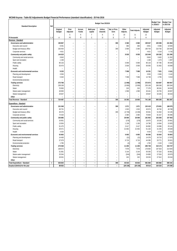# **WC048 Knysna - Table B2 Adjustments Budget Financial Performance (standard classification) - 25 Feb 2016**

| <b>Standard Description</b>         | Ref            |                    |                   |                          |                          | Budget Year 2015/16 |                          |                   |                          |                           | <b>Budget Year</b><br>+1 2016/17 | <b>Budget Year</b><br>2 2017/18 |
|-------------------------------------|----------------|--------------------|-------------------|--------------------------|--------------------------|---------------------|--------------------------|-------------------|--------------------------|---------------------------|----------------------------------|---------------------------------|
|                                     |                | Original<br>Budget | Prior<br>Adjusted | Accum.<br>Funds          | Multi-year<br>capital    | Unfore.<br>Unavoid. | Nat. or Prov.<br>Govt    | Other<br>Adjusts. | <b>Total Adjusts.</b>    | Adjusted<br><b>Budget</b> | Adjusted<br><b>Budget</b>        | Adjusted<br>Budget              |
|                                     |                |                    | 5                 | 6                        | $\overline{7}$           | 8                   | $\overline{9}$           | 10                | 11                       | 12                        |                                  |                                 |
| R thousands                         | 1, 4           | Α                  | A1                | B                        | $\mathsf{C}$             | D                   | E                        | F                 | G                        | Н                         |                                  |                                 |
| Revenue - Standard                  |                |                    |                   |                          |                          |                     |                          |                   |                          |                           |                                  |                                 |
| Governance and administration       |                | 196 867            | L,                | L                        | ÷,                       | ä,                  | 300                      | 2 3 6 0           | 2660                     | 199 527                   | 225 596                          | 241 964                         |
| Executive and council               |                | 8 4 9 1            | L.                | ÷.                       |                          | ٠                   | ٠                        | 360               | 360                      | 8851                      | 9596                             | 10584                           |
| Budget and treasury office          |                | 183 454            | L                 | $\overline{\phantom{a}}$ |                          | ۰                   | 300                      | 2 0 0 0           | 2 3 0 0                  | 185 754                   | 210 782                          | 225 645                         |
| Corporate services                  |                | 4 9 21             | i,                | -                        |                          | $\bar{ }$           | ÷                        |                   | $\overline{a}$           | 4 9 21                    | 5 2 1 8                          | 5 7 3 5                         |
| Community and public safety         |                | 144 619            | ä,                | ÷                        | ÷                        | ٠                   | ÷.                       | 8 0 3 0           | 8030                     | 152 649                   | 150 292                          | 151 395                         |
| Community and social services       |                | 9843               | L                 | L,                       |                          |                     |                          | ٠                 |                          | 9843                      | 9 4 0 2                          | 11 352                          |
| Sport and recreation                |                | 1 1 6 8            | L,                |                          |                          |                     |                          |                   |                          | 1 1 6 8                   | 1 2 7 3                          | 1 3 8 7                         |
| Public safety                       |                | 80 133             | L.                | ÷,                       |                          | ٠                   | L.                       | 5 0 0 0           | 5 0 0 0                  | 85 133                    | 87 785                           | 95 648                          |
| Housing                             |                | 53 474             | L,                | ä,                       |                          | ٠                   |                          | 3 0 3 0           | 3 0 3 0                  | 56 505                    | 51832                            | 43 008                          |
| Health                              |                |                    |                   |                          |                          |                     |                          |                   |                          |                           |                                  |                                 |
| Economic and environmental services |                | 9 2 3 3            | ÷                 | -                        |                          |                     |                          | 7098              | 7098                     | 16 331                    | 7631                             | 8 1 6 1                         |
| Planning and development            |                | 3593               | L,                | ÷,                       |                          | ٠                   | L.                       | ÷                 |                          | 3593                      | 2836                             | 3 1 4 2                         |
| Road transport                      |                | 5 6 4 0            |                   |                          |                          |                     |                          | 7098              | 7098                     | 12738                     | 4795                             | 5 0 1 9                         |
| Environmental protection            |                |                    | L.                | ÷,                       |                          |                     | L.                       |                   |                          |                           |                                  |                                 |
| <b>Trading services</b>             |                | 373 768            | Ē,                | $\overline{\phantom{a}}$ |                          | ۰                   | ۰                        | (1095)            | (1095)                   | 372 673                   | 416 687                          | 460 067                         |
| Electricity                         |                | 238 108            | $\overline{a}$    | L                        |                          | ۳                   |                          | (3000)            | (3000)                   | 235 108                   | 268 266                          | 300 204                         |
| Water                               |                | 76 963             | L,                | L,                       |                          |                     | L.                       | 315               | 315                      | 77 278                    | 88 341                           | 94 633                          |
| Waste water management              |                | 28 850             | Ē,                | ÷.                       |                          | ٠                   | L.                       | 1590              | 1590                     | 30 441                    | 26 755                           | 28 697                          |
| Waste management                    |                | 29 847             | L,                | L,                       |                          | ۳                   |                          | ä,                | $\overline{\phantom{a}}$ | 29 847                    | 33 3 25                          | 36 533                          |
| Other                               |                |                    | ÷.                | ÷.                       | $\overline{a}$           | ÷.                  | $\overline{a}$           | $\overline{a}$    | $\overline{\phantom{a}}$ | ÷.                        | $\overline{a}$                   | ÷.                              |
| Total Revenue - Standard            | $\overline{2}$ | 724 487            | $\equiv$          | $\sim$                   | ÷,                       | $\sim$              | 300                      | 16 393            | 16 693                   | 741 180                   | 800 206                          | 861 587                         |
| Expenditure - Standard              |                |                    |                   |                          |                          |                     |                          |                   |                          |                           |                                  |                                 |
| Governance and administration       |                | 151 548            | ÷                 | $\overline{\phantom{a}}$ | $\overline{\phantom{a}}$ | ÷,                  | 300                      | 1571              | 1871                     | 153 419                   | 179 691                          | 188 079                         |
| Executive and council               |                | 38 751             | L,                | ä,                       |                          | ۳                   | $\overline{\phantom{a}}$ | 1923              | 1923                     | 40 674                    | 46 762                           | 48 788                          |
| Budget and treasury office          |                | 38 376             | L.                | ÷,                       |                          | ÷                   | 300                      | (2735)            | (2435)                   | 35 941                    | 51 502                           | 54 195                          |
| Corporate services                  |                | 74 420             | L                 | L,                       |                          | ۳                   | $\overline{\phantom{a}}$ | 2 3 8 4           | 2 3 8 4                  | 76 804                    | 81 427                           | 85 0 96                         |
| Community and public safety         |                | 155 885            | L.                | $\overline{a}$           | ä.                       | ۳                   | L.                       | 26 069            | 26 069                   | 181 953                   | 103 383                          | 107 563                         |
| Community and social services       |                | 16 851             | L                 | $\overline{\phantom{a}}$ |                          | ٠                   | L.                       | (176)             | (176)                    | 16675                     | 18 195                           | 20 841                          |
| Sport and recreation                |                | 13 654             | ÷                 | $\overline{a}$           |                          | ٠                   | ÷                        | 1 1 3 6           | 1 1 3 6                  | 14 790                    | 14 944                           | 15 9 25                         |
| Public safety                       |                | 91 475             | L,                | L                        |                          |                     | L,                       | 3 4 1 7           | 3 4 1 7                  | 94 892                    | 24 08 6                          | 25 141                          |
| Housing                             |                | 29 471             | Ē,                | $\overline{\phantom{a}}$ |                          | ۰                   | L                        | 21 692            | 21 692                   | 51 163                    | 41 4 45                          | 40 639                          |
| Health                              |                | 4 4 3 4            | L.                | ÷,                       |                          |                     | L,                       | ÷.                |                          | 4 4 3 4                   | 4714                             | 5 0 1 6                         |
| Economic and environmental services |                | 53 863             | L,                |                          |                          |                     |                          | 6693              | 6693                     | 60 556                    | 52 634                           | 55 803                          |
| Planning and development            |                | 14 400             | L.                | ÷,                       |                          | ٠                   | L.                       | (21)              | (21)                     | 14 378                    | 16 710                           | 17879                           |
| Road transport                      |                | 37 679             | L                 | ä,                       |                          | $\equiv$            | L                        | 6716              | 6716                     | 44 395                    | 33 7 7 1                         | 35 621                          |
| Environmental protection            |                | 1785               | -                 | $\overline{a}$           |                          | $\equiv$            |                          | (2)               | (2)                      | 1783                      | 2 1 5 3                          | 2 3 0 2                         |
| Trading services                    |                | 274 538            | ä,                | ÷                        |                          | ÷                   | L,                       | 11 200            | 11 200                   | 285 738                   | 310 174                          | 333 747                         |
| Electricity                         |                | 168 672            | i,                | ÷,                       |                          |                     | L.                       | 7978              | 7978                     | 176 650                   | 197 923                          | 214 644                         |
| Water                               |                | 51 891             | L,                |                          |                          |                     |                          | 3 1 4 4           | 3 1 4 4                  | 55 0 35                   | 57 315                           | 60881                           |
| Waste water management              |                | 25 044             | L                 | ÷,                       |                          |                     |                          | (244)             | (244)                    | 24 800                    | 27 0 24                          | 28 979                          |
| Waste management                    |                | 28 931             | L,                | ٠                        | $\overline{\phantom{0}}$ | ۰                   | L                        | 322               | 322                      | 29 25 3                   | 27 912                           | 29 244                          |
| Other                               |                |                    | ÷                 | $\overline{\phantom{a}}$ | $\overline{\phantom{a}}$ | ÷                   |                          | ä,                | $\overline{\phantom{a}}$ | L.                        | ä,                               |                                 |
| Total Expenditure - Standard        | $\mathbf{3}$   | 635 833            | $\Box$            | $\overline{\phantom{a}}$ | ÷,                       | ÷,                  | 300                      | 45 533            | 45 833                   | 681 666                   | 645 882                          | 685 191                         |
| Surplus/ (Deficit) for the year     |                | 88 653             | $\sim$            | $\sim$                   | $\overline{a}$           | $\overline{a}$      | $\sim$                   | (29139)           | (29139)                  | 59 514                    | 154 324                          | 176 396                         |
|                                     |                |                    |                   |                          |                          |                     |                          |                   |                          |                           |                                  |                                 |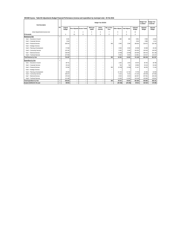**WC048 Knysna - Table B3 Adjustments Budget Financial Performance (revenue and expenditure by municipal vote) - 25 Feb 2016**

| <b>Vote Description</b>             |                |                    |                          |                             |                          | Budget Year 2015/16      |                          |                               |                          |                          | <b>Budget Year</b><br>+1 2016/17 | <b>Budget Year</b><br>+2 2017/18 |
|-------------------------------------|----------------|--------------------|--------------------------|-----------------------------|--------------------------|--------------------------|--------------------------|-------------------------------|--------------------------|--------------------------|----------------------------------|----------------------------------|
|                                     | Ref            | Original<br>Budget |                          | Prior Adjusted Accum. Funds | Multi-year<br>capital    | Unfore.<br>Unavoid.      | Nat. or Prov.<br>Govt    | Other Adjusts. Total Adjusts. |                          | Adjusted<br>Budget       | Adjusted<br>Budget               | Adjusted<br>Budget               |
| [Insert departmental structure etc] |                |                    | 3                        | $\overline{4}$              | 5                        | 6                        | $\overline{7}$           | 8                             | 9                        | 10                       |                                  |                                  |
| R thousands                         |                | A                  | A1                       | B                           | C                        | D.                       | E                        | F                             | G                        | H                        |                                  |                                  |
| Revenue by Vote                     | 1              |                    |                          |                             |                          |                          |                          |                               |                          |                          |                                  |                                  |
| Vote 1 - Executive & Council        |                | 8 4 9 1            | ٠                        | $\overline{\phantom{a}}$    | $\overline{\phantom{a}}$ | $\overline{\phantom{a}}$ | ٠                        | 360                           | 360                      | 8851                     | 9596                             | 10 5 84                          |
| Vote 2 - Corporate Services         |                | 3644               | $\overline{\phantom{a}}$ | $\overline{\phantom{a}}$    | $\overline{\phantom{a}}$ | $\overline{\phantom{0}}$ | $\overline{\phantom{a}}$ | $\overline{\phantom{a}}$      | $\overline{\phantom{a}}$ | 3 6 4 4                  | 3 9 8 6                          | 4 4 1 1                          |
| Vote 3 - Financial Services         |                | 183 534            | $\overline{\phantom{a}}$ | $\overline{\phantom{a}}$    | ٠                        | $\overline{\phantom{a}}$ | 300                      | 2000                          | 2 3 0 0                  | 185 834                  | 210 872                          | 225 758                          |
| Vote 4 - Strategic Services         |                |                    | ٠                        | $\overline{\phantom{a}}$    | ٠                        | $\overline{\phantom{a}}$ | ٠                        | $\overline{\phantom{a}}$      | $\overline{\phantom{a}}$ | $\overline{\phantom{a}}$ | ٠                                | $\overline{\phantom{a}}$         |
| Vote 5 - Planning & Development     |                | 57 068             | ٠                        | $\overline{\phantom{a}}$    | ٠                        | $\overline{\phantom{a}}$ | ٠                        | 3 0 3 0                       | 3 0 3 0                  | 60 098                   | 54 668                           | 46 150                           |
| Vote 6 - Community Services         |                | 125 282            | $\overline{\phantom{a}}$ | $\overline{\phantom{a}}$    | ٠                        | $\overline{\phantom{a}}$ | $\overline{\phantom{a}}$ | 5 0 0 0                       | 5 0 0 0                  | 130 282                  | 135 924                          | 149 329                          |
| Vote 7 - Electrical Services        |                | 238 609            | ٠                        | $\overline{\phantom{a}}$    | ٠                        | $\overline{\phantom{a}}$ | $\overline{\phantom{a}}$ | (3000)                        | (3000)                   | 235 609                  | 269 243                          | 301 188                          |
| Vote 8 - Technical Services         |                | 107 858            | ٠                        | $\overline{\phantom{a}}$    | ۰                        | $\overline{\phantom{a}}$ | ٠                        | 9003                          | 9 0 0 3                  | 116 861                  | 115 917                          | 124 167                          |
| <b>Total Revenue by Vote</b>        | $\overline{2}$ | 724 487            | ٠                        | ٠                           | ٠                        | $\frac{1}{2}$            | 300                      | 16 393                        | 16 693                   | 741 180                  | 800 206                          | 861 587                          |
| <b>Expenditure by Vote</b>          |                |                    |                          |                             |                          |                          |                          |                               |                          |                          |                                  |                                  |
| Vote 1 - Executive & Council        |                | 38 751             | ٠                        | $\qquad \qquad$             | $\overline{\phantom{a}}$ | -                        | $\overline{\phantom{0}}$ | 1923                          | 1923                     | 40 674                   | 46 762                           | 48788                            |
| Vote 2 - Corporate Services         |                | 29 104             | $\overline{\phantom{a}}$ | $\overline{\phantom{a}}$    | $\overline{\phantom{a}}$ | $\overline{\phantom{a}}$ | $\overline{\phantom{a}}$ | 746                           | 746                      | 29 850                   | 33 213                           | 34 184                           |
| Vote 3 - Financial Services         |                | 53 382             | $\overline{\phantom{a}}$ | $\overline{\phantom{a}}$    | ٠                        | $\overline{\phantom{a}}$ | 300                      | (2235)                        | (1935)                   | 51 447                   | 68 205                           | 71 434                           |
| Vote 4 - Strategic Services         |                |                    | $\overline{\phantom{a}}$ | $\overline{\phantom{a}}$    | ٠                        | -                        | $\overline{\phantom{a}}$ | $\overline{\phantom{a}}$      | ٠                        | $\overline{\phantom{a}}$ | ٠                                | $\overline{\phantom{a}}$         |
| Vote 5 - Planning & Development     |                | 49 056             | ٠                        | $\overline{\phantom{a}}$    | ٠                        | $\overline{\phantom{a}}$ | $\overline{\phantom{a}}$ | 21 7 3 3                      | 21 733                   | 70 790                   | 63 369                           | 64 059                           |
| Vote 6 - Community Services         |                | 166 027            | ٠                        | $\overline{\phantom{a}}$    | ۰                        | $\overline{\phantom{a}}$ |                          | 5 2 1 6                       | 5 2 1 6                  | 171 243                  | 100 549                          | 107 684                          |
| Vote 7 - Electrical Services        |                | 178 034            | ٠                        | $\overline{\phantom{a}}$    | ٠                        | $\overline{\phantom{a}}$ | ٠                        | 6523                          | 6523                     | 184 557                  | 207 901                          | 225 203                          |
| Vote 8 - Technical Services         |                | 121 480            | $\overline{\phantom{a}}$ | $\overline{\phantom{a}}$    | ٠                        | $\overline{\phantom{0}}$ | $\overline{\phantom{a}}$ | 11 6 26                       | 11 6 26                  | 133 106                  | 125 883                          | 133 841                          |
| <b>Total Expenditure by Vote</b>    | $\overline{2}$ | 635 833            | ۰                        | ۰                           | ٠                        | -                        | 300                      | 45 533                        | 45 833                   | 681 666                  | 645 882                          | 685 191                          |
| Surplus/ (Deficit) for the year     | $\overline{2}$ | 88 653             | -                        | ۰                           | ۰                        | $\overline{\phantom{0}}$ | $\frac{1}{2}$            | (29139)                       | (29139)                  | 59 514                   | 154 324                          | 176 396                          |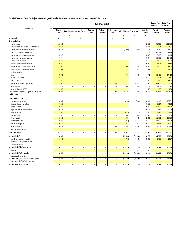### **WC048 Knysna - Table B4 Adjustments Budget Financial Performance (revenue and expenditure) - 25 Feb 2016**

| Nat. or Prov.<br>Original<br>Multi-year<br>Unfore.<br>Adjusted<br>Adjusted<br>Adjusted<br>Prior Adjusted Accum. Funds<br>Other Adjusts.<br><b>Total Adjusts.</b><br><b>Budget</b><br>capital<br>Unavoid.<br>Govt<br><b>Budget</b><br><b>Budget</b><br><b>Budget</b><br>5<br>$\overline{7}$<br>9<br>10<br>$\mathbf{3}$<br>8<br>$\overline{4}$<br>6<br>B<br>A1<br>F<br>${\mathsf G}$<br>$\boldsymbol{\mathsf{H}}$<br>$\mathbf{1}$<br>$\mathsf C$<br>D<br>F<br>R thousands<br>Α<br>Revenue By Source<br>$\overline{2}$<br>171 416<br>171 416<br>201 733<br>Property rates<br>188 535<br>í.<br>í.<br>Ĭ.<br>÷<br>Property rates - penalties & collection charges<br>3014<br>3014<br>3 3 3 1<br>3631<br>L,<br>215 015<br>(3000)<br>(3000)<br>212 015<br>245 359<br>276 495<br>Service charges - electricity revenue<br>$\overline{2}$<br>٠<br>٠<br>$\overline{\phantom{a}}$<br>$\sim$<br>٠<br>$\sqrt{2}$<br>52 571<br>52 571<br>67 132<br>71 829<br>Service charges - water revenue<br>$\overline{a}$<br>$\overline{\phantom{a}}$<br>۰<br>$\overline{\phantom{a}}$<br>۰<br>۰<br>$\overline{2}$<br>12 3 29<br>13 499<br>14 4 45<br>Service charges - sanitation revenue<br>12 3 29<br>$\overline{a}$<br>$\overline{2}$<br>20 433<br>16 504<br>16 504<br>18575<br>Service charges - refuse revenue<br>i,<br>Ĭ.<br>÷<br>3 9 7 6<br>4 3 3 3<br>4 7 2 2<br>3976<br>Service charges - other<br>۰<br>ä,<br>5 4 8 2<br>5 9 7 7<br>6516<br>Rental of facilities and equipment<br>5 4 8 2<br>÷<br>٠<br>3 600<br>Interest earned - external investments<br>3 2 0 0<br>2000<br>2000<br>5 2 0 0<br>3 4 0 0<br>4 0 8 9<br>3542<br>Interest earned - outstanding debtors<br>3542<br>3753<br>ä,<br>Dividends received<br>L,<br>94 418<br>Fines<br>79 471<br>5 0 0 0<br>5 000<br>84 471<br>86 623<br>2541<br>Licences and permits<br>2 1 7 9<br>2 1 7 9<br>2 3 3 1<br>$\overline{\phantom{a}}$<br>-<br>1950<br>1960<br>Agency services<br>1850<br>1850<br>۰<br>108 783<br>93 803<br>300<br>19763<br>20 063<br>104 483<br>Transfers recognised - operational<br>113 866<br>3 9 7 9<br>4 0 8 9<br>Other revenue<br>$\overline{2}$<br>3619<br>360<br>360<br>5 1 1 5<br>L.<br>÷,<br>÷,<br>$\overline{\phantom{a}}$<br>$\sim$<br>250<br>Gains on disposal of PPE<br>250<br>250<br>250<br>ä,<br>24 123<br>24 4 23<br>668 222<br>300<br>692 645<br>753 620<br>820 560<br><b>Total Revenue (excluding capital transfers and</b><br>$\overline{a}$<br>$\overline{\phantom{a}}$<br>$\overline{a}$<br>$\sim$<br>contributions)<br>Expenditure By Type<br>196 737<br>(246)<br>(246)<br>196 491<br>214 147<br>228 781<br>Employee related costs<br>÷<br>÷<br>-<br>$\overline{a}$<br>٠<br>6817<br>7 2 9 4<br>7804<br>6817<br>Remuneration of councillors<br>÷<br>÷,<br>Debt impairment<br>76 339<br>76 339<br>23 000<br>24 000<br>÷<br>34 749<br>Depreciation & asset impairment<br>25 918<br>25 918<br>32 544<br>$\overline{\phantom{a}}$<br>$\sim$<br>$\overline{\phantom{a}}$<br>$\sim$<br>$\overline{a}$<br>÷<br>÷.<br>(312)<br>16 520<br>Finance charges<br>13 962<br>(312)<br>13 650<br>15 5 86<br>132 465<br>13 000<br>13 000<br>145 465<br>154 954<br>168 900<br><b>Bulk purchases</b><br>$\overline{a}$<br>$\overline{\phantom{a}}$<br>$\overline{\phantom{a}}$<br>$\overline{\phantom{a}}$<br>$\overline{\phantom{m}}$<br>20 790<br>Other materials<br>21 863<br>393<br>393<br>22 25 6<br>19871<br>Contracted services<br>26 4 25<br>(2877)<br>(2877)<br>23 547<br>24 5 98<br>24 903<br>$\sim$<br>$\sim$<br>$\sim$<br>$\sim$<br>$\overline{\phantom{a}}$<br>291<br>5922<br>5 7 8 1<br>Transfers and grants<br>5631<br>291<br>5 6 6 5<br>300<br>35 285<br>35 585<br>148 223<br>152 962<br>Other expenditure<br>129 678<br>165 263<br>÷,<br>$\overline{\phantom{a}}$<br>$\overline{\phantom{a}}$<br>$\overline{\phantom{a}}$<br>Loss on disposal of PPE<br>÷<br>45 533<br>645 882<br>685 191<br><b>Total Expenditure</b><br>635 833<br>300<br>45 833<br>681 666<br>$\overline{\phantom{a}}$<br>$\overline{\phantom{a}}$<br>$\overline{\phantom{a}}$<br>$\overline{\phantom{a}}$<br>(21 410)<br>10 979<br>107 738<br>135 369<br>Surplus/(Deficit)<br>32 388<br>(21 410)<br>L.<br>$\sim$<br>÷,<br>$\sim$<br>$\overline{\phantom{a}}$<br>41 027<br>Transfers recognised - capital<br>56 265<br>(7730)<br>(7730)<br>48 535<br>46 586<br>Contributions recognised - capital<br>L,<br>L,<br>Contributed assets<br>÷<br>٠<br>Surplus/(Deficit) before taxation<br>(29139)<br>88 653<br>(29139)<br>59 514<br>154 324<br>176 396<br>$\overline{\phantom{a}}$<br>$\overline{\phantom{a}}$<br>$\overline{\phantom{a}}$<br>$\overline{\phantom{a}}$<br>$\overline{\phantom{a}}$<br>Taxation<br>÷.<br>L.<br>59 514<br>176 396<br>Surplus/(Deficit) after taxation<br>88 653<br>(29139)<br>(29139)<br>154 324<br>$\overline{\phantom{a}}$<br>$\overline{\phantom{a}}$<br>$\overline{\phantom{a}}$<br>$\sim$<br>$\overline{a}$<br>Attributable to minorities<br>Surplus/(Deficit) attributable to municipality<br>88 653<br>(29139)<br>(29139)<br>59 514<br>154 324<br>176 396<br>$\overline{\phantom{a}}$<br>$\overline{\phantom{a}}$<br>$\overline{\phantom{a}}$<br>$\overline{\phantom{a}}$<br>$\overline{\phantom{a}}$<br>Share of surplus/ (deficit) of associate<br>(29139)<br>(29139)<br>59 514<br>154 324<br>176 396<br>Surplus/ (Deficit) for the year<br>88 653<br>$\overline{\phantom{a}}$<br>$\sim$<br>$\sim$<br>$\overline{\phantom{a}}$<br>$\overline{a}$ |             |     |  |  | Budget Year 2015/16 |  |  | <b>Budget Year</b><br>+1 2016/17 | <b>Budget Year</b><br>+2 2017/18 |
|-----------------------------------------------------------------------------------------------------------------------------------------------------------------------------------------------------------------------------------------------------------------------------------------------------------------------------------------------------------------------------------------------------------------------------------------------------------------------------------------------------------------------------------------------------------------------------------------------------------------------------------------------------------------------------------------------------------------------------------------------------------------------------------------------------------------------------------------------------------------------------------------------------------------------------------------------------------------------------------------------------------------------------------------------------------------------------------------------------------------------------------------------------------------------------------------------------------------------------------------------------------------------------------------------------------------------------------------------------------------------------------------------------------------------------------------------------------------------------------------------------------------------------------------------------------------------------------------------------------------------------------------------------------------------------------------------------------------------------------------------------------------------------------------------------------------------------------------------------------------------------------------------------------------------------------------------------------------------------------------------------------------------------------------------------------------------------------------------------------------------------------------------------------------------------------------------------------------------------------------------------------------------------------------------------------------------------------------------------------------------------------------------------------------------------------------------------------------------------------------------------------------------------------------------------------------------------------------------------------------------------------------------------------------------------------------------------------------------------------------------------------------------------------------------------------------------------------------------------------------------------------------------------------------------------------------------------------------------------------------------------------------------------------------------------------------------------------------------------------------------------------------------------------------------------------------------------------------------------------------------------------------------------------------------------------------------------------------------------------------------------------------------------------------------------------------------------------------------------------------------------------------------------------------------------------------------------------------------------------------------------------------------------------------------------------------------------------------------------------------------------------------------------------------------------------------------------------------------------------------------------------------------------------------------------------------------------------------------------------------------------------------------------------------------------------------------------------------------------------------------------------------------------------------------------------------------------------------------------------------------------------------------------------------------------------------------------------------------------------------------------------------------------------------------------------------------------------------------------------------------------------------------------------------------------------------------------------------------------------------------------------------------------------------------------------------------------------------------------------------------------------------------------------------------------------------------------------------------------------------------------------------------------------------------------------------------------------------------------------------------------------------------------------------------------------------------------------------------------------------------------------------------------------------------------------------------------------------------------------------------------------------------------------------------------------------------------------------------------------------------------------------------------------------------------|-------------|-----|--|--|---------------------|--|--|----------------------------------|----------------------------------|
|                                                                                                                                                                                                                                                                                                                                                                                                                                                                                                                                                                                                                                                                                                                                                                                                                                                                                                                                                                                                                                                                                                                                                                                                                                                                                                                                                                                                                                                                                                                                                                                                                                                                                                                                                                                                                                                                                                                                                                                                                                                                                                                                                                                                                                                                                                                                                                                                                                                                                                                                                                                                                                                                                                                                                                                                                                                                                                                                                                                                                                                                                                                                                                                                                                                                                                                                                                                                                                                                                                                                                                                                                                                                                                                                                                                                                                                                                                                                                                                                                                                                                                                                                                                                                                                                                                                                                                                                                                                                                                                                                                                                                                                                                                                                                                                                                                                                                                                                                                                                                                                                                                                                                                                                                                                                                                                                                                                                                             | Description | Ref |  |  |                     |  |  |                                  |                                  |
|                                                                                                                                                                                                                                                                                                                                                                                                                                                                                                                                                                                                                                                                                                                                                                                                                                                                                                                                                                                                                                                                                                                                                                                                                                                                                                                                                                                                                                                                                                                                                                                                                                                                                                                                                                                                                                                                                                                                                                                                                                                                                                                                                                                                                                                                                                                                                                                                                                                                                                                                                                                                                                                                                                                                                                                                                                                                                                                                                                                                                                                                                                                                                                                                                                                                                                                                                                                                                                                                                                                                                                                                                                                                                                                                                                                                                                                                                                                                                                                                                                                                                                                                                                                                                                                                                                                                                                                                                                                                                                                                                                                                                                                                                                                                                                                                                                                                                                                                                                                                                                                                                                                                                                                                                                                                                                                                                                                                                             |             |     |  |  |                     |  |  |                                  |                                  |
|                                                                                                                                                                                                                                                                                                                                                                                                                                                                                                                                                                                                                                                                                                                                                                                                                                                                                                                                                                                                                                                                                                                                                                                                                                                                                                                                                                                                                                                                                                                                                                                                                                                                                                                                                                                                                                                                                                                                                                                                                                                                                                                                                                                                                                                                                                                                                                                                                                                                                                                                                                                                                                                                                                                                                                                                                                                                                                                                                                                                                                                                                                                                                                                                                                                                                                                                                                                                                                                                                                                                                                                                                                                                                                                                                                                                                                                                                                                                                                                                                                                                                                                                                                                                                                                                                                                                                                                                                                                                                                                                                                                                                                                                                                                                                                                                                                                                                                                                                                                                                                                                                                                                                                                                                                                                                                                                                                                                                             |             |     |  |  |                     |  |  |                                  |                                  |
|                                                                                                                                                                                                                                                                                                                                                                                                                                                                                                                                                                                                                                                                                                                                                                                                                                                                                                                                                                                                                                                                                                                                                                                                                                                                                                                                                                                                                                                                                                                                                                                                                                                                                                                                                                                                                                                                                                                                                                                                                                                                                                                                                                                                                                                                                                                                                                                                                                                                                                                                                                                                                                                                                                                                                                                                                                                                                                                                                                                                                                                                                                                                                                                                                                                                                                                                                                                                                                                                                                                                                                                                                                                                                                                                                                                                                                                                                                                                                                                                                                                                                                                                                                                                                                                                                                                                                                                                                                                                                                                                                                                                                                                                                                                                                                                                                                                                                                                                                                                                                                                                                                                                                                                                                                                                                                                                                                                                                             |             |     |  |  |                     |  |  |                                  |                                  |
|                                                                                                                                                                                                                                                                                                                                                                                                                                                                                                                                                                                                                                                                                                                                                                                                                                                                                                                                                                                                                                                                                                                                                                                                                                                                                                                                                                                                                                                                                                                                                                                                                                                                                                                                                                                                                                                                                                                                                                                                                                                                                                                                                                                                                                                                                                                                                                                                                                                                                                                                                                                                                                                                                                                                                                                                                                                                                                                                                                                                                                                                                                                                                                                                                                                                                                                                                                                                                                                                                                                                                                                                                                                                                                                                                                                                                                                                                                                                                                                                                                                                                                                                                                                                                                                                                                                                                                                                                                                                                                                                                                                                                                                                                                                                                                                                                                                                                                                                                                                                                                                                                                                                                                                                                                                                                                                                                                                                                             |             |     |  |  |                     |  |  |                                  |                                  |
|                                                                                                                                                                                                                                                                                                                                                                                                                                                                                                                                                                                                                                                                                                                                                                                                                                                                                                                                                                                                                                                                                                                                                                                                                                                                                                                                                                                                                                                                                                                                                                                                                                                                                                                                                                                                                                                                                                                                                                                                                                                                                                                                                                                                                                                                                                                                                                                                                                                                                                                                                                                                                                                                                                                                                                                                                                                                                                                                                                                                                                                                                                                                                                                                                                                                                                                                                                                                                                                                                                                                                                                                                                                                                                                                                                                                                                                                                                                                                                                                                                                                                                                                                                                                                                                                                                                                                                                                                                                                                                                                                                                                                                                                                                                                                                                                                                                                                                                                                                                                                                                                                                                                                                                                                                                                                                                                                                                                                             |             |     |  |  |                     |  |  |                                  |                                  |
|                                                                                                                                                                                                                                                                                                                                                                                                                                                                                                                                                                                                                                                                                                                                                                                                                                                                                                                                                                                                                                                                                                                                                                                                                                                                                                                                                                                                                                                                                                                                                                                                                                                                                                                                                                                                                                                                                                                                                                                                                                                                                                                                                                                                                                                                                                                                                                                                                                                                                                                                                                                                                                                                                                                                                                                                                                                                                                                                                                                                                                                                                                                                                                                                                                                                                                                                                                                                                                                                                                                                                                                                                                                                                                                                                                                                                                                                                                                                                                                                                                                                                                                                                                                                                                                                                                                                                                                                                                                                                                                                                                                                                                                                                                                                                                                                                                                                                                                                                                                                                                                                                                                                                                                                                                                                                                                                                                                                                             |             |     |  |  |                     |  |  |                                  |                                  |
|                                                                                                                                                                                                                                                                                                                                                                                                                                                                                                                                                                                                                                                                                                                                                                                                                                                                                                                                                                                                                                                                                                                                                                                                                                                                                                                                                                                                                                                                                                                                                                                                                                                                                                                                                                                                                                                                                                                                                                                                                                                                                                                                                                                                                                                                                                                                                                                                                                                                                                                                                                                                                                                                                                                                                                                                                                                                                                                                                                                                                                                                                                                                                                                                                                                                                                                                                                                                                                                                                                                                                                                                                                                                                                                                                                                                                                                                                                                                                                                                                                                                                                                                                                                                                                                                                                                                                                                                                                                                                                                                                                                                                                                                                                                                                                                                                                                                                                                                                                                                                                                                                                                                                                                                                                                                                                                                                                                                                             |             |     |  |  |                     |  |  |                                  |                                  |
|                                                                                                                                                                                                                                                                                                                                                                                                                                                                                                                                                                                                                                                                                                                                                                                                                                                                                                                                                                                                                                                                                                                                                                                                                                                                                                                                                                                                                                                                                                                                                                                                                                                                                                                                                                                                                                                                                                                                                                                                                                                                                                                                                                                                                                                                                                                                                                                                                                                                                                                                                                                                                                                                                                                                                                                                                                                                                                                                                                                                                                                                                                                                                                                                                                                                                                                                                                                                                                                                                                                                                                                                                                                                                                                                                                                                                                                                                                                                                                                                                                                                                                                                                                                                                                                                                                                                                                                                                                                                                                                                                                                                                                                                                                                                                                                                                                                                                                                                                                                                                                                                                                                                                                                                                                                                                                                                                                                                                             |             |     |  |  |                     |  |  |                                  |                                  |
|                                                                                                                                                                                                                                                                                                                                                                                                                                                                                                                                                                                                                                                                                                                                                                                                                                                                                                                                                                                                                                                                                                                                                                                                                                                                                                                                                                                                                                                                                                                                                                                                                                                                                                                                                                                                                                                                                                                                                                                                                                                                                                                                                                                                                                                                                                                                                                                                                                                                                                                                                                                                                                                                                                                                                                                                                                                                                                                                                                                                                                                                                                                                                                                                                                                                                                                                                                                                                                                                                                                                                                                                                                                                                                                                                                                                                                                                                                                                                                                                                                                                                                                                                                                                                                                                                                                                                                                                                                                                                                                                                                                                                                                                                                                                                                                                                                                                                                                                                                                                                                                                                                                                                                                                                                                                                                                                                                                                                             |             |     |  |  |                     |  |  |                                  |                                  |
|                                                                                                                                                                                                                                                                                                                                                                                                                                                                                                                                                                                                                                                                                                                                                                                                                                                                                                                                                                                                                                                                                                                                                                                                                                                                                                                                                                                                                                                                                                                                                                                                                                                                                                                                                                                                                                                                                                                                                                                                                                                                                                                                                                                                                                                                                                                                                                                                                                                                                                                                                                                                                                                                                                                                                                                                                                                                                                                                                                                                                                                                                                                                                                                                                                                                                                                                                                                                                                                                                                                                                                                                                                                                                                                                                                                                                                                                                                                                                                                                                                                                                                                                                                                                                                                                                                                                                                                                                                                                                                                                                                                                                                                                                                                                                                                                                                                                                                                                                                                                                                                                                                                                                                                                                                                                                                                                                                                                                             |             |     |  |  |                     |  |  |                                  |                                  |
|                                                                                                                                                                                                                                                                                                                                                                                                                                                                                                                                                                                                                                                                                                                                                                                                                                                                                                                                                                                                                                                                                                                                                                                                                                                                                                                                                                                                                                                                                                                                                                                                                                                                                                                                                                                                                                                                                                                                                                                                                                                                                                                                                                                                                                                                                                                                                                                                                                                                                                                                                                                                                                                                                                                                                                                                                                                                                                                                                                                                                                                                                                                                                                                                                                                                                                                                                                                                                                                                                                                                                                                                                                                                                                                                                                                                                                                                                                                                                                                                                                                                                                                                                                                                                                                                                                                                                                                                                                                                                                                                                                                                                                                                                                                                                                                                                                                                                                                                                                                                                                                                                                                                                                                                                                                                                                                                                                                                                             |             |     |  |  |                     |  |  |                                  |                                  |
|                                                                                                                                                                                                                                                                                                                                                                                                                                                                                                                                                                                                                                                                                                                                                                                                                                                                                                                                                                                                                                                                                                                                                                                                                                                                                                                                                                                                                                                                                                                                                                                                                                                                                                                                                                                                                                                                                                                                                                                                                                                                                                                                                                                                                                                                                                                                                                                                                                                                                                                                                                                                                                                                                                                                                                                                                                                                                                                                                                                                                                                                                                                                                                                                                                                                                                                                                                                                                                                                                                                                                                                                                                                                                                                                                                                                                                                                                                                                                                                                                                                                                                                                                                                                                                                                                                                                                                                                                                                                                                                                                                                                                                                                                                                                                                                                                                                                                                                                                                                                                                                                                                                                                                                                                                                                                                                                                                                                                             |             |     |  |  |                     |  |  |                                  |                                  |
|                                                                                                                                                                                                                                                                                                                                                                                                                                                                                                                                                                                                                                                                                                                                                                                                                                                                                                                                                                                                                                                                                                                                                                                                                                                                                                                                                                                                                                                                                                                                                                                                                                                                                                                                                                                                                                                                                                                                                                                                                                                                                                                                                                                                                                                                                                                                                                                                                                                                                                                                                                                                                                                                                                                                                                                                                                                                                                                                                                                                                                                                                                                                                                                                                                                                                                                                                                                                                                                                                                                                                                                                                                                                                                                                                                                                                                                                                                                                                                                                                                                                                                                                                                                                                                                                                                                                                                                                                                                                                                                                                                                                                                                                                                                                                                                                                                                                                                                                                                                                                                                                                                                                                                                                                                                                                                                                                                                                                             |             |     |  |  |                     |  |  |                                  |                                  |
|                                                                                                                                                                                                                                                                                                                                                                                                                                                                                                                                                                                                                                                                                                                                                                                                                                                                                                                                                                                                                                                                                                                                                                                                                                                                                                                                                                                                                                                                                                                                                                                                                                                                                                                                                                                                                                                                                                                                                                                                                                                                                                                                                                                                                                                                                                                                                                                                                                                                                                                                                                                                                                                                                                                                                                                                                                                                                                                                                                                                                                                                                                                                                                                                                                                                                                                                                                                                                                                                                                                                                                                                                                                                                                                                                                                                                                                                                                                                                                                                                                                                                                                                                                                                                                                                                                                                                                                                                                                                                                                                                                                                                                                                                                                                                                                                                                                                                                                                                                                                                                                                                                                                                                                                                                                                                                                                                                                                                             |             |     |  |  |                     |  |  |                                  |                                  |
|                                                                                                                                                                                                                                                                                                                                                                                                                                                                                                                                                                                                                                                                                                                                                                                                                                                                                                                                                                                                                                                                                                                                                                                                                                                                                                                                                                                                                                                                                                                                                                                                                                                                                                                                                                                                                                                                                                                                                                                                                                                                                                                                                                                                                                                                                                                                                                                                                                                                                                                                                                                                                                                                                                                                                                                                                                                                                                                                                                                                                                                                                                                                                                                                                                                                                                                                                                                                                                                                                                                                                                                                                                                                                                                                                                                                                                                                                                                                                                                                                                                                                                                                                                                                                                                                                                                                                                                                                                                                                                                                                                                                                                                                                                                                                                                                                                                                                                                                                                                                                                                                                                                                                                                                                                                                                                                                                                                                                             |             |     |  |  |                     |  |  |                                  |                                  |
|                                                                                                                                                                                                                                                                                                                                                                                                                                                                                                                                                                                                                                                                                                                                                                                                                                                                                                                                                                                                                                                                                                                                                                                                                                                                                                                                                                                                                                                                                                                                                                                                                                                                                                                                                                                                                                                                                                                                                                                                                                                                                                                                                                                                                                                                                                                                                                                                                                                                                                                                                                                                                                                                                                                                                                                                                                                                                                                                                                                                                                                                                                                                                                                                                                                                                                                                                                                                                                                                                                                                                                                                                                                                                                                                                                                                                                                                                                                                                                                                                                                                                                                                                                                                                                                                                                                                                                                                                                                                                                                                                                                                                                                                                                                                                                                                                                                                                                                                                                                                                                                                                                                                                                                                                                                                                                                                                                                                                             |             |     |  |  |                     |  |  |                                  |                                  |
|                                                                                                                                                                                                                                                                                                                                                                                                                                                                                                                                                                                                                                                                                                                                                                                                                                                                                                                                                                                                                                                                                                                                                                                                                                                                                                                                                                                                                                                                                                                                                                                                                                                                                                                                                                                                                                                                                                                                                                                                                                                                                                                                                                                                                                                                                                                                                                                                                                                                                                                                                                                                                                                                                                                                                                                                                                                                                                                                                                                                                                                                                                                                                                                                                                                                                                                                                                                                                                                                                                                                                                                                                                                                                                                                                                                                                                                                                                                                                                                                                                                                                                                                                                                                                                                                                                                                                                                                                                                                                                                                                                                                                                                                                                                                                                                                                                                                                                                                                                                                                                                                                                                                                                                                                                                                                                                                                                                                                             |             |     |  |  |                     |  |  |                                  |                                  |
|                                                                                                                                                                                                                                                                                                                                                                                                                                                                                                                                                                                                                                                                                                                                                                                                                                                                                                                                                                                                                                                                                                                                                                                                                                                                                                                                                                                                                                                                                                                                                                                                                                                                                                                                                                                                                                                                                                                                                                                                                                                                                                                                                                                                                                                                                                                                                                                                                                                                                                                                                                                                                                                                                                                                                                                                                                                                                                                                                                                                                                                                                                                                                                                                                                                                                                                                                                                                                                                                                                                                                                                                                                                                                                                                                                                                                                                                                                                                                                                                                                                                                                                                                                                                                                                                                                                                                                                                                                                                                                                                                                                                                                                                                                                                                                                                                                                                                                                                                                                                                                                                                                                                                                                                                                                                                                                                                                                                                             |             |     |  |  |                     |  |  |                                  |                                  |
|                                                                                                                                                                                                                                                                                                                                                                                                                                                                                                                                                                                                                                                                                                                                                                                                                                                                                                                                                                                                                                                                                                                                                                                                                                                                                                                                                                                                                                                                                                                                                                                                                                                                                                                                                                                                                                                                                                                                                                                                                                                                                                                                                                                                                                                                                                                                                                                                                                                                                                                                                                                                                                                                                                                                                                                                                                                                                                                                                                                                                                                                                                                                                                                                                                                                                                                                                                                                                                                                                                                                                                                                                                                                                                                                                                                                                                                                                                                                                                                                                                                                                                                                                                                                                                                                                                                                                                                                                                                                                                                                                                                                                                                                                                                                                                                                                                                                                                                                                                                                                                                                                                                                                                                                                                                                                                                                                                                                                             |             |     |  |  |                     |  |  |                                  |                                  |
|                                                                                                                                                                                                                                                                                                                                                                                                                                                                                                                                                                                                                                                                                                                                                                                                                                                                                                                                                                                                                                                                                                                                                                                                                                                                                                                                                                                                                                                                                                                                                                                                                                                                                                                                                                                                                                                                                                                                                                                                                                                                                                                                                                                                                                                                                                                                                                                                                                                                                                                                                                                                                                                                                                                                                                                                                                                                                                                                                                                                                                                                                                                                                                                                                                                                                                                                                                                                                                                                                                                                                                                                                                                                                                                                                                                                                                                                                                                                                                                                                                                                                                                                                                                                                                                                                                                                                                                                                                                                                                                                                                                                                                                                                                                                                                                                                                                                                                                                                                                                                                                                                                                                                                                                                                                                                                                                                                                                                             |             |     |  |  |                     |  |  |                                  |                                  |
|                                                                                                                                                                                                                                                                                                                                                                                                                                                                                                                                                                                                                                                                                                                                                                                                                                                                                                                                                                                                                                                                                                                                                                                                                                                                                                                                                                                                                                                                                                                                                                                                                                                                                                                                                                                                                                                                                                                                                                                                                                                                                                                                                                                                                                                                                                                                                                                                                                                                                                                                                                                                                                                                                                                                                                                                                                                                                                                                                                                                                                                                                                                                                                                                                                                                                                                                                                                                                                                                                                                                                                                                                                                                                                                                                                                                                                                                                                                                                                                                                                                                                                                                                                                                                                                                                                                                                                                                                                                                                                                                                                                                                                                                                                                                                                                                                                                                                                                                                                                                                                                                                                                                                                                                                                                                                                                                                                                                                             |             |     |  |  |                     |  |  |                                  |                                  |
|                                                                                                                                                                                                                                                                                                                                                                                                                                                                                                                                                                                                                                                                                                                                                                                                                                                                                                                                                                                                                                                                                                                                                                                                                                                                                                                                                                                                                                                                                                                                                                                                                                                                                                                                                                                                                                                                                                                                                                                                                                                                                                                                                                                                                                                                                                                                                                                                                                                                                                                                                                                                                                                                                                                                                                                                                                                                                                                                                                                                                                                                                                                                                                                                                                                                                                                                                                                                                                                                                                                                                                                                                                                                                                                                                                                                                                                                                                                                                                                                                                                                                                                                                                                                                                                                                                                                                                                                                                                                                                                                                                                                                                                                                                                                                                                                                                                                                                                                                                                                                                                                                                                                                                                                                                                                                                                                                                                                                             |             |     |  |  |                     |  |  |                                  |                                  |
|                                                                                                                                                                                                                                                                                                                                                                                                                                                                                                                                                                                                                                                                                                                                                                                                                                                                                                                                                                                                                                                                                                                                                                                                                                                                                                                                                                                                                                                                                                                                                                                                                                                                                                                                                                                                                                                                                                                                                                                                                                                                                                                                                                                                                                                                                                                                                                                                                                                                                                                                                                                                                                                                                                                                                                                                                                                                                                                                                                                                                                                                                                                                                                                                                                                                                                                                                                                                                                                                                                                                                                                                                                                                                                                                                                                                                                                                                                                                                                                                                                                                                                                                                                                                                                                                                                                                                                                                                                                                                                                                                                                                                                                                                                                                                                                                                                                                                                                                                                                                                                                                                                                                                                                                                                                                                                                                                                                                                             |             |     |  |  |                     |  |  |                                  |                                  |
|                                                                                                                                                                                                                                                                                                                                                                                                                                                                                                                                                                                                                                                                                                                                                                                                                                                                                                                                                                                                                                                                                                                                                                                                                                                                                                                                                                                                                                                                                                                                                                                                                                                                                                                                                                                                                                                                                                                                                                                                                                                                                                                                                                                                                                                                                                                                                                                                                                                                                                                                                                                                                                                                                                                                                                                                                                                                                                                                                                                                                                                                                                                                                                                                                                                                                                                                                                                                                                                                                                                                                                                                                                                                                                                                                                                                                                                                                                                                                                                                                                                                                                                                                                                                                                                                                                                                                                                                                                                                                                                                                                                                                                                                                                                                                                                                                                                                                                                                                                                                                                                                                                                                                                                                                                                                                                                                                                                                                             |             |     |  |  |                     |  |  |                                  |                                  |
|                                                                                                                                                                                                                                                                                                                                                                                                                                                                                                                                                                                                                                                                                                                                                                                                                                                                                                                                                                                                                                                                                                                                                                                                                                                                                                                                                                                                                                                                                                                                                                                                                                                                                                                                                                                                                                                                                                                                                                                                                                                                                                                                                                                                                                                                                                                                                                                                                                                                                                                                                                                                                                                                                                                                                                                                                                                                                                                                                                                                                                                                                                                                                                                                                                                                                                                                                                                                                                                                                                                                                                                                                                                                                                                                                                                                                                                                                                                                                                                                                                                                                                                                                                                                                                                                                                                                                                                                                                                                                                                                                                                                                                                                                                                                                                                                                                                                                                                                                                                                                                                                                                                                                                                                                                                                                                                                                                                                                             |             |     |  |  |                     |  |  |                                  |                                  |
|                                                                                                                                                                                                                                                                                                                                                                                                                                                                                                                                                                                                                                                                                                                                                                                                                                                                                                                                                                                                                                                                                                                                                                                                                                                                                                                                                                                                                                                                                                                                                                                                                                                                                                                                                                                                                                                                                                                                                                                                                                                                                                                                                                                                                                                                                                                                                                                                                                                                                                                                                                                                                                                                                                                                                                                                                                                                                                                                                                                                                                                                                                                                                                                                                                                                                                                                                                                                                                                                                                                                                                                                                                                                                                                                                                                                                                                                                                                                                                                                                                                                                                                                                                                                                                                                                                                                                                                                                                                                                                                                                                                                                                                                                                                                                                                                                                                                                                                                                                                                                                                                                                                                                                                                                                                                                                                                                                                                                             |             |     |  |  |                     |  |  |                                  |                                  |
|                                                                                                                                                                                                                                                                                                                                                                                                                                                                                                                                                                                                                                                                                                                                                                                                                                                                                                                                                                                                                                                                                                                                                                                                                                                                                                                                                                                                                                                                                                                                                                                                                                                                                                                                                                                                                                                                                                                                                                                                                                                                                                                                                                                                                                                                                                                                                                                                                                                                                                                                                                                                                                                                                                                                                                                                                                                                                                                                                                                                                                                                                                                                                                                                                                                                                                                                                                                                                                                                                                                                                                                                                                                                                                                                                                                                                                                                                                                                                                                                                                                                                                                                                                                                                                                                                                                                                                                                                                                                                                                                                                                                                                                                                                                                                                                                                                                                                                                                                                                                                                                                                                                                                                                                                                                                                                                                                                                                                             |             |     |  |  |                     |  |  |                                  |                                  |
|                                                                                                                                                                                                                                                                                                                                                                                                                                                                                                                                                                                                                                                                                                                                                                                                                                                                                                                                                                                                                                                                                                                                                                                                                                                                                                                                                                                                                                                                                                                                                                                                                                                                                                                                                                                                                                                                                                                                                                                                                                                                                                                                                                                                                                                                                                                                                                                                                                                                                                                                                                                                                                                                                                                                                                                                                                                                                                                                                                                                                                                                                                                                                                                                                                                                                                                                                                                                                                                                                                                                                                                                                                                                                                                                                                                                                                                                                                                                                                                                                                                                                                                                                                                                                                                                                                                                                                                                                                                                                                                                                                                                                                                                                                                                                                                                                                                                                                                                                                                                                                                                                                                                                                                                                                                                                                                                                                                                                             |             |     |  |  |                     |  |  |                                  |                                  |
|                                                                                                                                                                                                                                                                                                                                                                                                                                                                                                                                                                                                                                                                                                                                                                                                                                                                                                                                                                                                                                                                                                                                                                                                                                                                                                                                                                                                                                                                                                                                                                                                                                                                                                                                                                                                                                                                                                                                                                                                                                                                                                                                                                                                                                                                                                                                                                                                                                                                                                                                                                                                                                                                                                                                                                                                                                                                                                                                                                                                                                                                                                                                                                                                                                                                                                                                                                                                                                                                                                                                                                                                                                                                                                                                                                                                                                                                                                                                                                                                                                                                                                                                                                                                                                                                                                                                                                                                                                                                                                                                                                                                                                                                                                                                                                                                                                                                                                                                                                                                                                                                                                                                                                                                                                                                                                                                                                                                                             |             |     |  |  |                     |  |  |                                  |                                  |
|                                                                                                                                                                                                                                                                                                                                                                                                                                                                                                                                                                                                                                                                                                                                                                                                                                                                                                                                                                                                                                                                                                                                                                                                                                                                                                                                                                                                                                                                                                                                                                                                                                                                                                                                                                                                                                                                                                                                                                                                                                                                                                                                                                                                                                                                                                                                                                                                                                                                                                                                                                                                                                                                                                                                                                                                                                                                                                                                                                                                                                                                                                                                                                                                                                                                                                                                                                                                                                                                                                                                                                                                                                                                                                                                                                                                                                                                                                                                                                                                                                                                                                                                                                                                                                                                                                                                                                                                                                                                                                                                                                                                                                                                                                                                                                                                                                                                                                                                                                                                                                                                                                                                                                                                                                                                                                                                                                                                                             |             |     |  |  |                     |  |  |                                  |                                  |
|                                                                                                                                                                                                                                                                                                                                                                                                                                                                                                                                                                                                                                                                                                                                                                                                                                                                                                                                                                                                                                                                                                                                                                                                                                                                                                                                                                                                                                                                                                                                                                                                                                                                                                                                                                                                                                                                                                                                                                                                                                                                                                                                                                                                                                                                                                                                                                                                                                                                                                                                                                                                                                                                                                                                                                                                                                                                                                                                                                                                                                                                                                                                                                                                                                                                                                                                                                                                                                                                                                                                                                                                                                                                                                                                                                                                                                                                                                                                                                                                                                                                                                                                                                                                                                                                                                                                                                                                                                                                                                                                                                                                                                                                                                                                                                                                                                                                                                                                                                                                                                                                                                                                                                                                                                                                                                                                                                                                                             |             |     |  |  |                     |  |  |                                  |                                  |
|                                                                                                                                                                                                                                                                                                                                                                                                                                                                                                                                                                                                                                                                                                                                                                                                                                                                                                                                                                                                                                                                                                                                                                                                                                                                                                                                                                                                                                                                                                                                                                                                                                                                                                                                                                                                                                                                                                                                                                                                                                                                                                                                                                                                                                                                                                                                                                                                                                                                                                                                                                                                                                                                                                                                                                                                                                                                                                                                                                                                                                                                                                                                                                                                                                                                                                                                                                                                                                                                                                                                                                                                                                                                                                                                                                                                                                                                                                                                                                                                                                                                                                                                                                                                                                                                                                                                                                                                                                                                                                                                                                                                                                                                                                                                                                                                                                                                                                                                                                                                                                                                                                                                                                                                                                                                                                                                                                                                                             |             |     |  |  |                     |  |  |                                  |                                  |
|                                                                                                                                                                                                                                                                                                                                                                                                                                                                                                                                                                                                                                                                                                                                                                                                                                                                                                                                                                                                                                                                                                                                                                                                                                                                                                                                                                                                                                                                                                                                                                                                                                                                                                                                                                                                                                                                                                                                                                                                                                                                                                                                                                                                                                                                                                                                                                                                                                                                                                                                                                                                                                                                                                                                                                                                                                                                                                                                                                                                                                                                                                                                                                                                                                                                                                                                                                                                                                                                                                                                                                                                                                                                                                                                                                                                                                                                                                                                                                                                                                                                                                                                                                                                                                                                                                                                                                                                                                                                                                                                                                                                                                                                                                                                                                                                                                                                                                                                                                                                                                                                                                                                                                                                                                                                                                                                                                                                                             |             |     |  |  |                     |  |  |                                  |                                  |
|                                                                                                                                                                                                                                                                                                                                                                                                                                                                                                                                                                                                                                                                                                                                                                                                                                                                                                                                                                                                                                                                                                                                                                                                                                                                                                                                                                                                                                                                                                                                                                                                                                                                                                                                                                                                                                                                                                                                                                                                                                                                                                                                                                                                                                                                                                                                                                                                                                                                                                                                                                                                                                                                                                                                                                                                                                                                                                                                                                                                                                                                                                                                                                                                                                                                                                                                                                                                                                                                                                                                                                                                                                                                                                                                                                                                                                                                                                                                                                                                                                                                                                                                                                                                                                                                                                                                                                                                                                                                                                                                                                                                                                                                                                                                                                                                                                                                                                                                                                                                                                                                                                                                                                                                                                                                                                                                                                                                                             |             |     |  |  |                     |  |  |                                  |                                  |
|                                                                                                                                                                                                                                                                                                                                                                                                                                                                                                                                                                                                                                                                                                                                                                                                                                                                                                                                                                                                                                                                                                                                                                                                                                                                                                                                                                                                                                                                                                                                                                                                                                                                                                                                                                                                                                                                                                                                                                                                                                                                                                                                                                                                                                                                                                                                                                                                                                                                                                                                                                                                                                                                                                                                                                                                                                                                                                                                                                                                                                                                                                                                                                                                                                                                                                                                                                                                                                                                                                                                                                                                                                                                                                                                                                                                                                                                                                                                                                                                                                                                                                                                                                                                                                                                                                                                                                                                                                                                                                                                                                                                                                                                                                                                                                                                                                                                                                                                                                                                                                                                                                                                                                                                                                                                                                                                                                                                                             |             |     |  |  |                     |  |  |                                  |                                  |
|                                                                                                                                                                                                                                                                                                                                                                                                                                                                                                                                                                                                                                                                                                                                                                                                                                                                                                                                                                                                                                                                                                                                                                                                                                                                                                                                                                                                                                                                                                                                                                                                                                                                                                                                                                                                                                                                                                                                                                                                                                                                                                                                                                                                                                                                                                                                                                                                                                                                                                                                                                                                                                                                                                                                                                                                                                                                                                                                                                                                                                                                                                                                                                                                                                                                                                                                                                                                                                                                                                                                                                                                                                                                                                                                                                                                                                                                                                                                                                                                                                                                                                                                                                                                                                                                                                                                                                                                                                                                                                                                                                                                                                                                                                                                                                                                                                                                                                                                                                                                                                                                                                                                                                                                                                                                                                                                                                                                                             |             |     |  |  |                     |  |  |                                  |                                  |
|                                                                                                                                                                                                                                                                                                                                                                                                                                                                                                                                                                                                                                                                                                                                                                                                                                                                                                                                                                                                                                                                                                                                                                                                                                                                                                                                                                                                                                                                                                                                                                                                                                                                                                                                                                                                                                                                                                                                                                                                                                                                                                                                                                                                                                                                                                                                                                                                                                                                                                                                                                                                                                                                                                                                                                                                                                                                                                                                                                                                                                                                                                                                                                                                                                                                                                                                                                                                                                                                                                                                                                                                                                                                                                                                                                                                                                                                                                                                                                                                                                                                                                                                                                                                                                                                                                                                                                                                                                                                                                                                                                                                                                                                                                                                                                                                                                                                                                                                                                                                                                                                                                                                                                                                                                                                                                                                                                                                                             |             |     |  |  |                     |  |  |                                  |                                  |
|                                                                                                                                                                                                                                                                                                                                                                                                                                                                                                                                                                                                                                                                                                                                                                                                                                                                                                                                                                                                                                                                                                                                                                                                                                                                                                                                                                                                                                                                                                                                                                                                                                                                                                                                                                                                                                                                                                                                                                                                                                                                                                                                                                                                                                                                                                                                                                                                                                                                                                                                                                                                                                                                                                                                                                                                                                                                                                                                                                                                                                                                                                                                                                                                                                                                                                                                                                                                                                                                                                                                                                                                                                                                                                                                                                                                                                                                                                                                                                                                                                                                                                                                                                                                                                                                                                                                                                                                                                                                                                                                                                                                                                                                                                                                                                                                                                                                                                                                                                                                                                                                                                                                                                                                                                                                                                                                                                                                                             |             |     |  |  |                     |  |  |                                  |                                  |
|                                                                                                                                                                                                                                                                                                                                                                                                                                                                                                                                                                                                                                                                                                                                                                                                                                                                                                                                                                                                                                                                                                                                                                                                                                                                                                                                                                                                                                                                                                                                                                                                                                                                                                                                                                                                                                                                                                                                                                                                                                                                                                                                                                                                                                                                                                                                                                                                                                                                                                                                                                                                                                                                                                                                                                                                                                                                                                                                                                                                                                                                                                                                                                                                                                                                                                                                                                                                                                                                                                                                                                                                                                                                                                                                                                                                                                                                                                                                                                                                                                                                                                                                                                                                                                                                                                                                                                                                                                                                                                                                                                                                                                                                                                                                                                                                                                                                                                                                                                                                                                                                                                                                                                                                                                                                                                                                                                                                                             |             |     |  |  |                     |  |  |                                  |                                  |
|                                                                                                                                                                                                                                                                                                                                                                                                                                                                                                                                                                                                                                                                                                                                                                                                                                                                                                                                                                                                                                                                                                                                                                                                                                                                                                                                                                                                                                                                                                                                                                                                                                                                                                                                                                                                                                                                                                                                                                                                                                                                                                                                                                                                                                                                                                                                                                                                                                                                                                                                                                                                                                                                                                                                                                                                                                                                                                                                                                                                                                                                                                                                                                                                                                                                                                                                                                                                                                                                                                                                                                                                                                                                                                                                                                                                                                                                                                                                                                                                                                                                                                                                                                                                                                                                                                                                                                                                                                                                                                                                                                                                                                                                                                                                                                                                                                                                                                                                                                                                                                                                                                                                                                                                                                                                                                                                                                                                                             |             |     |  |  |                     |  |  |                                  |                                  |
|                                                                                                                                                                                                                                                                                                                                                                                                                                                                                                                                                                                                                                                                                                                                                                                                                                                                                                                                                                                                                                                                                                                                                                                                                                                                                                                                                                                                                                                                                                                                                                                                                                                                                                                                                                                                                                                                                                                                                                                                                                                                                                                                                                                                                                                                                                                                                                                                                                                                                                                                                                                                                                                                                                                                                                                                                                                                                                                                                                                                                                                                                                                                                                                                                                                                                                                                                                                                                                                                                                                                                                                                                                                                                                                                                                                                                                                                                                                                                                                                                                                                                                                                                                                                                                                                                                                                                                                                                                                                                                                                                                                                                                                                                                                                                                                                                                                                                                                                                                                                                                                                                                                                                                                                                                                                                                                                                                                                                             |             |     |  |  |                     |  |  |                                  |                                  |
|                                                                                                                                                                                                                                                                                                                                                                                                                                                                                                                                                                                                                                                                                                                                                                                                                                                                                                                                                                                                                                                                                                                                                                                                                                                                                                                                                                                                                                                                                                                                                                                                                                                                                                                                                                                                                                                                                                                                                                                                                                                                                                                                                                                                                                                                                                                                                                                                                                                                                                                                                                                                                                                                                                                                                                                                                                                                                                                                                                                                                                                                                                                                                                                                                                                                                                                                                                                                                                                                                                                                                                                                                                                                                                                                                                                                                                                                                                                                                                                                                                                                                                                                                                                                                                                                                                                                                                                                                                                                                                                                                                                                                                                                                                                                                                                                                                                                                                                                                                                                                                                                                                                                                                                                                                                                                                                                                                                                                             |             |     |  |  |                     |  |  |                                  |                                  |
|                                                                                                                                                                                                                                                                                                                                                                                                                                                                                                                                                                                                                                                                                                                                                                                                                                                                                                                                                                                                                                                                                                                                                                                                                                                                                                                                                                                                                                                                                                                                                                                                                                                                                                                                                                                                                                                                                                                                                                                                                                                                                                                                                                                                                                                                                                                                                                                                                                                                                                                                                                                                                                                                                                                                                                                                                                                                                                                                                                                                                                                                                                                                                                                                                                                                                                                                                                                                                                                                                                                                                                                                                                                                                                                                                                                                                                                                                                                                                                                                                                                                                                                                                                                                                                                                                                                                                                                                                                                                                                                                                                                                                                                                                                                                                                                                                                                                                                                                                                                                                                                                                                                                                                                                                                                                                                                                                                                                                             |             |     |  |  |                     |  |  |                                  |                                  |
|                                                                                                                                                                                                                                                                                                                                                                                                                                                                                                                                                                                                                                                                                                                                                                                                                                                                                                                                                                                                                                                                                                                                                                                                                                                                                                                                                                                                                                                                                                                                                                                                                                                                                                                                                                                                                                                                                                                                                                                                                                                                                                                                                                                                                                                                                                                                                                                                                                                                                                                                                                                                                                                                                                                                                                                                                                                                                                                                                                                                                                                                                                                                                                                                                                                                                                                                                                                                                                                                                                                                                                                                                                                                                                                                                                                                                                                                                                                                                                                                                                                                                                                                                                                                                                                                                                                                                                                                                                                                                                                                                                                                                                                                                                                                                                                                                                                                                                                                                                                                                                                                                                                                                                                                                                                                                                                                                                                                                             |             |     |  |  |                     |  |  |                                  |                                  |
|                                                                                                                                                                                                                                                                                                                                                                                                                                                                                                                                                                                                                                                                                                                                                                                                                                                                                                                                                                                                                                                                                                                                                                                                                                                                                                                                                                                                                                                                                                                                                                                                                                                                                                                                                                                                                                                                                                                                                                                                                                                                                                                                                                                                                                                                                                                                                                                                                                                                                                                                                                                                                                                                                                                                                                                                                                                                                                                                                                                                                                                                                                                                                                                                                                                                                                                                                                                                                                                                                                                                                                                                                                                                                                                                                                                                                                                                                                                                                                                                                                                                                                                                                                                                                                                                                                                                                                                                                                                                                                                                                                                                                                                                                                                                                                                                                                                                                                                                                                                                                                                                                                                                                                                                                                                                                                                                                                                                                             |             |     |  |  |                     |  |  |                                  |                                  |
|                                                                                                                                                                                                                                                                                                                                                                                                                                                                                                                                                                                                                                                                                                                                                                                                                                                                                                                                                                                                                                                                                                                                                                                                                                                                                                                                                                                                                                                                                                                                                                                                                                                                                                                                                                                                                                                                                                                                                                                                                                                                                                                                                                                                                                                                                                                                                                                                                                                                                                                                                                                                                                                                                                                                                                                                                                                                                                                                                                                                                                                                                                                                                                                                                                                                                                                                                                                                                                                                                                                                                                                                                                                                                                                                                                                                                                                                                                                                                                                                                                                                                                                                                                                                                                                                                                                                                                                                                                                                                                                                                                                                                                                                                                                                                                                                                                                                                                                                                                                                                                                                                                                                                                                                                                                                                                                                                                                                                             |             |     |  |  |                     |  |  |                                  |                                  |
|                                                                                                                                                                                                                                                                                                                                                                                                                                                                                                                                                                                                                                                                                                                                                                                                                                                                                                                                                                                                                                                                                                                                                                                                                                                                                                                                                                                                                                                                                                                                                                                                                                                                                                                                                                                                                                                                                                                                                                                                                                                                                                                                                                                                                                                                                                                                                                                                                                                                                                                                                                                                                                                                                                                                                                                                                                                                                                                                                                                                                                                                                                                                                                                                                                                                                                                                                                                                                                                                                                                                                                                                                                                                                                                                                                                                                                                                                                                                                                                                                                                                                                                                                                                                                                                                                                                                                                                                                                                                                                                                                                                                                                                                                                                                                                                                                                                                                                                                                                                                                                                                                                                                                                                                                                                                                                                                                                                                                             |             |     |  |  |                     |  |  |                                  |                                  |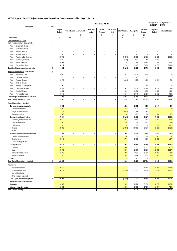# **WC048 Knysna - Table B5 Adjustments Capital Expenditure Budget by vote and funding - 25 Feb 2016**

| Description                               | Ref            |                           |                          |                             |                          | Budget Year 2015/16      |                          |                          |                                    |                           | <b>Budget Year</b><br>+1 2016/17 | Budget Year +2<br>2017/18 |
|-------------------------------------------|----------------|---------------------------|--------------------------|-----------------------------|--------------------------|--------------------------|--------------------------|--------------------------|------------------------------------|---------------------------|----------------------------------|---------------------------|
|                                           |                | Original<br><b>Budget</b> |                          | Prior Adjusted Accum. Funds | Multi-year<br>capital    | Unfore.<br>Unavoid.      | Nat. or Prov.<br>Govt    | Other Adjusts.           | <b>Total Adjusts.</b>              | Adjusted<br><b>Budget</b> | Adjusted<br><b>Budget</b>        | <b>Adjusted Budget</b>    |
|                                           |                |                           | 5                        | 6                           | $\overline{1}$           | 8                        | 9                        | 10                       | 11                                 | 12                        |                                  |                           |
| R thousands<br>Capital expenditure - Vote |                | Α                         | A1                       | B                           | $\mathbb C$              | D                        | E                        | F                        | G                                  | Н                         |                                  |                           |
| Multi-year expenditure to be adjusted     | $\overline{2}$ |                           |                          |                             |                          |                          |                          |                          |                                    |                           |                                  |                           |
| Vote 1 - Executive & Council              |                | $\overline{a}$            | $\overline{a}$           | $\overline{a}$              | $\overline{a}$           | $\overline{a}$           | ÷                        | $\overline{a}$           | ÷                                  | $\overline{a}$            | $\overline{\phantom{a}}$         |                           |
| Vote 2 - Corporate Services               |                | $\sim$                    | ۰                        | $\overline{\phantom{a}}$    | $\overline{\phantom{a}}$ | $\overline{\phantom{a}}$ | $\sim$                   | ۰                        | L.                                 | L.                        | ÷                                |                           |
| Vote 3 - Financial Services               |                | ÷,                        | ÷,                       | $\overline{\phantom{a}}$    |                          | L.                       | ÷,                       | ۰                        | L.                                 | ۰                         | L.                               | $\overline{a}$            |
| Vote 4 - Strategic Services               |                |                           |                          | $\overline{\phantom{0}}$    |                          | L,                       |                          |                          |                                    |                           |                                  | $\overline{a}$            |
| Vote 5 - Planning & Development           |                | 29 37 2                   |                          | $\overline{a}$              |                          | $\overline{a}$           | ÷                        | (9850)                   | (9850)                             | 19522                     | 22 029                           | 16 522                    |
| Vote 6 - Community Services               |                | 1 0 3 0                   | ۰                        | $\overline{a}$              |                          | $\overline{a}$           | ۰                        | (600)                    | (600)                              | 430                       | 1 0 0 0                          | $\overline{a}$            |
| Vote 7 - Electrical Services              |                | 15 863                    | L.                       | Ĭ.                          | $\overline{\phantom{a}}$ | $\overline{a}$           | ۰                        | 69                       | 69                                 | 15 9 32                   | 7 2 0 9                          | 3 4 3 2                   |
| Vote 8 - Technical Services               |                | 28 617                    | $\overline{\phantom{a}}$ | $\overline{\phantom{a}}$    | $\overline{\phantom{a}}$ | $\overline{\phantom{a}}$ | $\overline{\phantom{a}}$ | 1 2 4 5                  | 1 2 4 5                            | 29 862                    | 18 170                           | 20 195                    |
| Capital multi-year expenditure sub-total  | 3              | 74 882                    | $\overline{\phantom{a}}$ | $\overline{\phantom{a}}$    | $\sim$                   | $\overline{\phantom{a}}$ | $\overline{\phantom{a}}$ | (9136)                   | (9136)                             | 65 746                    | 48 408                           | 40 149                    |
| Single-year expenditure to be adjusted    | $\overline{2}$ |                           |                          |                             |                          |                          |                          |                          |                                    |                           |                                  |                           |
| Vote 1 - Executive & Council              |                | 4 600                     | $\overline{a}$           | $\overline{\phantom{a}}$    | $\overline{\phantom{0}}$ | $\overline{\phantom{0}}$ | $\overline{a}$           | 1522                     | 1522                               | 6 1 2 2                   | 20                               | 20                        |
| Vote 2 - Corporate Services               |                | 10                        | $\overline{\phantom{a}}$ | $\overline{\phantom{a}}$    | $\overline{\phantom{a}}$ | $\overline{\phantom{a}}$ | ۰                        | ٠                        | ۰                                  | 10                        | 10                               | 10                        |
| Vote 3 - Financial Services               |                | 1975                      | ÷,                       | $\overline{\phantom{a}}$    | ÷.                       | L.                       | ۰                        | (150)                    | (150)                              | 1825                      | 1504                             | 745                       |
| Vote 4 - Strategic Services               |                |                           |                          | $\overline{\phantom{a}}$    |                          | $\overline{\phantom{0}}$ |                          |                          |                                    | $\overline{a}$            |                                  | $\overline{\phantom{a}}$  |
| Vote 5 - Planning & Development           |                | 260                       |                          | $\overline{a}$              |                          | $\overline{a}$           |                          | ÷                        | $\overline{a}$                     | 260                       | 20                               | 20                        |
| Vote 6 - Community Services               |                | 9952                      |                          | $\overline{a}$              |                          | $\overline{a}$           | ۰                        | 2917                     | 2917                               | 12 869                    | 6639                             | 7859                      |
| Vote 7 - Electrical Services              |                | 4 2 5 7                   | ۰                        | $\overline{a}$              | $\overline{\phantom{a}}$ | $\overline{a}$           | ۰                        | 1431                     | 1431                               | 5688                      | 1 4 2 7                          | 1 1 4 7                   |
| Vote 8 - Technical Services               |                | 6747                      | ٠                        | $\overline{\phantom{a}}$    | ٠                        | $\overline{\phantom{a}}$ | ٠                        | 8544                     | 8544                               | 15 291                    | 12 212                           | 9042                      |
| Capital single-year expenditure sub-total |                | 27 801                    | $\overline{\phantom{a}}$ | $\overline{\phantom{a}}$    | $\sim$                   | $\overline{\phantom{a}}$ | $\overline{\phantom{a}}$ | 14 26 3                  | 14 263                             | 42 064                    | 21832                            | 18843                     |
| Total Capital Expenditure - Vote          |                | 102 683                   | $\overline{\phantom{a}}$ | $\overline{\phantom{a}}$    | $\overline{\phantom{a}}$ | $\overline{\phantom{a}}$ | $\overline{\phantom{a}}$ | 5 1 2 8                  | 5 1 2 8                            | 107810                    | 70 240                           | 58 992                    |
| Capital Expenditure - Standard            |                |                           |                          |                             |                          |                          |                          |                          |                                    |                           |                                  |                           |
| Governance and administration             |                | 6 9 9 5                   | $\overline{\phantom{a}}$ | ۳                           | ۰                        | ۰                        | $\overline{a}$           | 1 3 6 2                  | 1 3 6 2                            | 8 3 5 7                   | 1744                             | 995                       |
| Executive and council                     |                | 4 600                     |                          |                             |                          |                          |                          | 1522                     | 1522                               | 6 1 2 2                   | 20                               | $20\,$                    |
| Budget and treasury office                |                | 1 2 1 5                   |                          |                             |                          |                          |                          | (368)                    | (368)                              | 847                       | 120                              | $\equiv$                  |
| Corporate services                        |                | 1 1 8 0                   |                          |                             |                          |                          |                          | 208                      | 208                                | 1 3 8 8                   | 1604                             | 975                       |
| Community and public safety               |                | 37 304                    | $\overline{a}$           | $\overline{a}$              | $\overline{a}$           | $\overline{a}$           | $\overline{\phantom{a}}$ | (8131)                   | (8131)                             | 29 173                    | 27 688                           | 23 851                    |
| Community and social services             |                | 5 3 1 2                   |                          |                             |                          |                          |                          | 1058                     | 1058                               | 6 3 7 0                   | 2509                             | 2509                      |
| Sport and recreation                      |                | 2 4 0 0                   |                          |                             |                          |                          |                          | 776                      | 776                                | 3 1 7 6                   | 2 2 2 0                          | 1600                      |
| Public safety                             |                |                           |                          |                             |                          |                          |                          | 35                       | 35                                 | 35                        | 930                              | 3 2 2 0                   |
| Housing                                   |                | 29 5 92                   |                          |                             |                          |                          |                          | (10000)                  | (10000)                            | 19592                     | 22 0 29                          | 16 522                    |
| Health                                    |                |                           |                          |                             |                          |                          |                          | $\overline{\phantom{0}}$ | $\overline{\phantom{0}}$           | $\overline{a}$            |                                  |                           |
| Economic and environmental services       |                | 3747                      | $\overline{\phantom{a}}$ | $\overline{a}$              | $\overline{a}$           | $\overline{a}$           | $\overline{\phantom{a}}$ | 2936                     | 2936                               | 6683                      | 2050                             | 1870                      |
| Planning and development                  |                |                           |                          |                             |                          |                          |                          | 150                      | 150                                | 150                       |                                  | $\overline{\phantom{0}}$  |
| Road transport                            |                | 3747                      |                          |                             |                          |                          |                          | 2786                     | 2786                               | 6533                      | 2050                             | 1870                      |
| Environmental protection                  |                |                           |                          |                             |                          |                          |                          | ٠                        | L.                                 | ÷.                        |                                  | $-$                       |
| <b>Trading services</b>                   |                | 54 637                    | $\overline{a}$           | $\overline{a}$              | ٠                        | $\overline{a}$           | $\overline{a}$           | 8961                     | 8 9 6 1                            | 63 598                    | 38 758                           | 32 276                    |
| Electricity<br>Water                      |                | 20 1 20                   |                          |                             |                          |                          |                          | 1500                     | 1500                               | 21 6 20<br>23 541         | 8636<br>22 050                   | 4579<br>22 075            |
| Waste water management                    |                | 20 677<br>11 360          |                          |                             |                          |                          |                          | 2864<br>4 0 3 9          | 2864<br>4 0 3 9                    | 15 3 9 9                  | 6 182                            | 5 1 8 2                   |
| Waste management                          |                | 2 4 8 0                   |                          |                             |                          |                          |                          | 558                      | 558                                | 3038                      | 1890                             | 440                       |
| Other                                     |                |                           |                          |                             |                          |                          |                          |                          | $\sim$                             | $\overline{\phantom{a}}$  |                                  |                           |
| Total Capital Expenditure - Standard      | $\overline{3}$ | 102 683                   | $\overline{\phantom{a}}$ | $\overline{\phantom{a}}$    | $\overline{\phantom{a}}$ | $\overline{\phantom{a}}$ | $\overline{\phantom{a}}$ | 5 1 2 8                  | 5 1 2 8                            | 107 810                   | 70 240                           | 58 992                    |
|                                           |                |                           |                          |                             |                          |                          |                          |                          |                                    |                           |                                  |                           |
| Funded by:<br>National Government         |                | 25 5 32                   |                          |                             |                          |                          |                          | $\overline{\phantom{a}}$ |                                    | 25 5 32                   | 24 5 57                          |                           |
| Provincial Government                     |                | 30 733                    |                          |                             |                          |                          |                          | (7730)                   | $\overline{\phantom{0}}$<br>(7730) | 23 003                    | 22 0 29                          | 24 5 05<br>16522          |
| <b>District Municipality</b>              |                |                           |                          |                             |                          |                          |                          | $\qquad \qquad -$        | $\overline{\phantom{a}}$           | $\overline{\phantom{a}}$  |                                  |                           |
| Other transfers and grants                |                |                           |                          |                             |                          |                          |                          |                          | ÷,                                 |                           |                                  |                           |
| <b>Total Capital transfers recognised</b> | $\overline{4}$ | 56 265                    | $\overline{\phantom{a}}$ | $\overline{\phantom{a}}$    | $\overline{\phantom{a}}$ | $\overline{\phantom{a}}$ | $\overline{\phantom{a}}$ | (7730)                   | (7730)                             | 48 535                    | 46 586                           | 41 027                    |
| Public contributions & donations          |                |                           |                          |                             |                          |                          |                          | $\equiv$                 |                                    | $\overline{\phantom{a}}$  |                                  |                           |
| Borrowing                                 |                | 14 7 32                   |                          |                             |                          |                          |                          | 7474                     | 7474                               | 22 20 6                   | 12 570                           | 10 660                    |
| Internally generated funds                |                | 31 686                    |                          |                             |                          |                          |                          | 5 3 8 3                  | 5 3 8 3                            | 37 069                    | 11 084                           | 7 3 0 5                   |
| <b>Total Capital Funding</b>              |                | 102 683                   | $\overline{\phantom{a}}$ | $\overline{\phantom{a}}$    | $\sim$                   | $\overline{\phantom{a}}$ | $\overline{\phantom{a}}$ | 5 1 2 8                  | 5 1 2 8                            | 107 810                   | 70 240                           | 58 992                    |
|                                           |                |                           |                          |                             |                          |                          |                          |                          |                                    |                           |                                  |                           |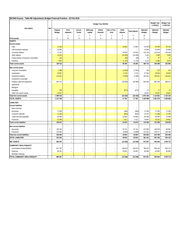| WC048 Knysna - Table B6 Adjustments Budget Financial Position - 25 Feb 2016 |                |                           |                          |                                |                                |                                |                          |                   |                                    |                           |                                  |                                  |
|-----------------------------------------------------------------------------|----------------|---------------------------|--------------------------|--------------------------------|--------------------------------|--------------------------------|--------------------------|-------------------|------------------------------------|---------------------------|----------------------------------|----------------------------------|
|                                                                             |                |                           |                          |                                |                                | Budget Year 2015/16            |                          |                   |                                    |                           | <b>Budget Year</b><br>+1 2016/17 | <b>Budget Year</b><br>+2 2017/18 |
| Description                                                                 | Ref            | Original<br><b>Budget</b> | Prior<br>Adjusted        | Accum.<br>Funds                | Multi-year<br>capital          | Unfore.<br>Unavoid.            | Nat. or Prov.<br>Govt    | Other<br>Adjusts. | <b>Total Adjusts.</b>              | Adjusted<br><b>Budget</b> | Adjusted<br><b>Budget</b>        | Adjusted<br><b>Budget</b>        |
|                                                                             |                |                           | $\mathbf{3}$             | $\overline{4}$                 | 5                              | 6                              | $\overline{7}$           | 8                 | 9                                  | 10                        |                                  |                                  |
| R thousands                                                                 |                | Α                         | A1                       | B                              | $\mathcal{C}$                  | D                              | E                        | F                 | G                                  | Н                         |                                  |                                  |
| <b>ASSETS</b>                                                               |                |                           |                          |                                |                                |                                |                          |                   |                                    |                           |                                  |                                  |
| <b>Current assets</b>                                                       |                |                           |                          |                                |                                |                                |                          |                   |                                    |                           |                                  |                                  |
| Cash                                                                        | -1             | 12 3 38<br>10 000         | $\overline{\phantom{a}}$ |                                |                                |                                | $\overline{\phantom{a}}$ | 13 9 64<br>٠      | 13 9 64                            | 26 302<br>10 000          | 44 530<br>10 000                 | 93 103<br>10 000                 |
| Call investment deposits<br>Consumer debtors                                | $\mathbf{1}$   | 72 107                    | $\overline{\phantom{a}}$ | $\overline{\phantom{a}}$<br>i. | $\overline{\phantom{a}}$<br>i. | $\overline{\phantom{a}}$<br>i, | $\overline{\phantom{a}}$ | 43 018            | $\overline{\phantom{a}}$<br>43 018 | 115 125                   | 122 018                          | 129 164                          |
| Other debtors                                                               |                | 18 10 2                   |                          |                                |                                |                                |                          | (15000)           | (15000)                            | 3 1 0 2                   | 3 2 8 8                          | 3 4 8 5                          |
| Current portion of long-term receivables                                    |                | 125                       |                          |                                |                                |                                |                          | (58)              | (58)                               | 67                        | 67                               | 67                               |
| Inventory                                                                   |                | 7841                      |                          |                                |                                |                                |                          | (1723)            | (1723)                             | 6 1 1 8                   | 6 4 8 5                          | 6874                             |
| <b>Total current assets</b>                                                 |                | 120 513                   | $\overline{\phantom{a}}$ | $\overline{\phantom{a}}$       | $\overline{\phantom{a}}$       | $\overline{\phantom{a}}$       | $\overline{\phantom{a}}$ | 40 200            | 40 200                             | 160 713                   | 186 388                          | 242 694                          |
|                                                                             |                |                           |                          |                                |                                |                                |                          |                   |                                    |                           |                                  |                                  |
| Non current assets                                                          |                |                           |                          |                                |                                |                                |                          |                   |                                    |                           |                                  |                                  |
| Long-term receivables                                                       |                | 1968                      |                          |                                |                                |                                |                          | (1843)            | (1843)                             | 125                       | 125                              | 125                              |
| Investments                                                                 |                | 23 857                    |                          |                                |                                |                                |                          | 3 1 7 6           | 3 1 7 6                            | 27 033                    | 30 0 33                          | 33 0 33                          |
| Investment property                                                         |                | 110 321                   |                          |                                |                                |                                |                          | (7000)            | (7000)                             | 103 321                   | 103 321                          | 103 321                          |
| Investment in Associate                                                     | $\mathbf{1}$   | 940 712                   | $\bar{ }$                | $\overline{\phantom{a}}$       | $\overline{\phantom{a}}$       | $\overline{\phantom{a}}$       | $\overline{\phantom{a}}$ | (16080)           | (16080)                            | L,<br>924 632             | 962 328                          | 986 571                          |
| Property, plant and equipment                                               |                |                           |                          |                                |                                |                                |                          |                   |                                    |                           |                                  |                                  |
| Agricultural<br>Biological                                                  |                |                           |                          |                                |                                |                                |                          |                   | $\overline{\phantom{a}}$           | $\overline{\phantom{a}}$  |                                  |                                  |
| Intangible                                                                  |                | 700                       |                          |                                |                                |                                |                          | (673)             | (673)                              | 27                        | 27                               | 27                               |
| Other non-current assets                                                    |                | 19 057                    |                          |                                |                                |                                |                          |                   | $\overline{\phantom{a}}$           | 19 057                    | 19 057                           | 19057                            |
| <b>Total non current assets</b>                                             |                | 1096 615                  | $\overline{\phantom{a}}$ | $\overline{\phantom{a}}$       | $\overline{\phantom{a}}$       | $\overline{\phantom{a}}$       | $\overline{\phantom{a}}$ | (22 420)          | (22420)                            | 1074 195                  | 1 1 1 4 8 9 1                    | 1 142 134                        |
| <b>TOTAL ASSETS</b>                                                         |                | 1 217 128                 | $\overline{\phantom{a}}$ | $\overline{\phantom{a}}$       | $\overline{\phantom{a}}$       | $\overline{\phantom{a}}$       | $\overline{\phantom{a}}$ | 17 781            | 17 781                             | 1 2 3 4 9 0 8             | 1 301 279                        | 1 384 828                        |
|                                                                             |                |                           |                          |                                |                                |                                |                          |                   |                                    |                           |                                  |                                  |
| <b>LIABILITIES</b>                                                          |                |                           |                          |                                |                                |                                |                          |                   |                                    |                           |                                  |                                  |
| <b>Current liabilities</b>                                                  |                |                           |                          |                                |                                |                                |                          |                   |                                    |                           |                                  |                                  |
| Bank overdraft<br>Borrowing                                                 |                | 17 500                    | $\bar{ }$                | $\overline{\phantom{a}}$       | $\overline{\phantom{a}}$       | $\overline{\phantom{a}}$       | $\overline{\phantom{a}}$ | (484)             | (484)                              | 17016                     | 17016                            | 17016                            |
|                                                                             |                |                           |                          |                                |                                |                                |                          |                   | (833)                              |                           |                                  | 11700                            |
| Consumer deposits<br>Trade and other payables                               |                | 11 246<br>54 495          | $\overline{\phantom{a}}$ | $\overline{\phantom{a}}$       | $\overline{\phantom{a}}$       | $\overline{\phantom{a}}$       | $\overline{\phantom{a}}$ | (833)<br>10 685   | 10 685                             | 10413<br>65 180           | 11 0 38<br>69 004                | 73 058                           |
| Provisions                                                                  |                | 22 386                    |                          |                                |                                |                                |                          | 1511              | 1511                               | 23 897                    | 25 3 31                          | 26 851                           |
| <b>Total current liabilities</b>                                            |                | 105 627                   | $\overline{\phantom{a}}$ | $\overline{\phantom{a}}$       | $\overline{\phantom{a}}$       | $\overline{\phantom{a}}$       | $\overline{\phantom{a}}$ | 10879             | 10879                              | 116 506                   | 122 389                          | 128 625                          |
|                                                                             |                |                           |                          |                                |                                |                                |                          |                   |                                    |                           |                                  |                                  |
| Non current liabilities                                                     |                |                           |                          |                                |                                |                                |                          |                   |                                    |                           |                                  |                                  |
| Borrowing                                                                   | $\mathbf{1}$   | 100 354                   | $\bar{ }$                | $\overline{\phantom{a}}$       | $\overline{\phantom{a}}$       | $\overline{\phantom{a}}$       | $\bar{ }$                | 22 741            | 22 741                             | 123 095                   | 106 079                          | 89 064                           |
| Provisions                                                                  | $\mathbf{1}$   | 125 650                   | $\qquad \qquad -$        | ÷,                             | $\qquad \qquad -$              | ÷,                             | ÷                        | (3809)            | (3809)                             | 121 841                   | 128 717                          | 136 426                          |
| Total non current liabilities                                               |                | 226 004                   | $\overline{\phantom{a}}$ | $\overline{\phantom{a}}$       | $\overline{\phantom{a}}$       | $\overline{\phantom{a}}$       | $\overline{\phantom{a}}$ | 18932             | 18 9 32                            | 244 935                   | 234 796                          | 225 490                          |
| TOTAL LIABILITIES                                                           |                | 331 631                   | $\qquad \qquad -$        | $\qquad \qquad \blacksquare$   | $\overline{\phantom{a}}$       | $\overline{\phantom{a}}$       | $\qquad \qquad -$        | 29 810            | 29 8 10                            | 361 441                   | 357 185                          | 354 115                          |
| <b>NET ASSETS</b>                                                           | $\overline{2}$ | 885 497                   | $\overline{\phantom{a}}$ | $\overline{\phantom{a}}$       | $\overline{\phantom{a}}$       | $\overline{\phantom{a}}$       | $\overline{\phantom{a}}$ | (12030)           | (12030)                            | 873 467                   | 944 094                          | 1030713                          |
| COMMUNITY WEALTH/EQUITY                                                     |                |                           |                          |                                |                                |                                |                          |                   |                                    |                           |                                  |                                  |
| Accumulated Surplus/(Deficit)                                               |                | 817 347                   | $\overline{\phantom{a}}$ | $\overline{a}$                 | $\overline{\phantom{0}}$       | $\overline{a}$                 | $\overline{\phantom{a}}$ | (28871)           | (28871)                            | 788 475                   | 859 102                          | 945 721                          |
| Reserves                                                                    |                | 68 151                    | $\overline{\phantom{a}}$ | $\overline{\phantom{a}}$       | $\overline{\phantom{a}}$       | ٠                              | $\overline{\phantom{a}}$ | 16 841            | 16841                              | 84 992                    | 84 992                           | 84 992                           |
| Minorities' interests                                                       |                |                           |                          |                                |                                |                                |                          |                   | $\overline{\phantom{a}}$           |                           |                                  |                                  |
| TOTAL COMMUNITY WEALTH/EQUITY                                               |                | 885 497                   | $\overline{\phantom{a}}$ | $\overline{\phantom{a}}$       | $\overline{\phantom{a}}$       | $\overline{\phantom{a}}$       | $\overline{\phantom{a}}$ | (12030)           | (12030)                            | 873 467                   | 944 094                          | 1030713                          |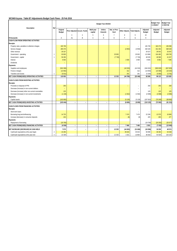# **WC048 Knysna - Table B7 Adjustments Budget Cash Flows - 25 Feb 2016**

| Description                                       | Ref            |                           |                          |                             |                          | Budget Year 2015/16      |                       |                |                          |                           | <b>Budget Year</b><br>1 2016/17 | <b>Budget Year</b><br>+2 2017/18 |
|---------------------------------------------------|----------------|---------------------------|--------------------------|-----------------------------|--------------------------|--------------------------|-----------------------|----------------|--------------------------|---------------------------|---------------------------------|----------------------------------|
|                                                   |                | Original<br><b>Budget</b> |                          | Prior Adjusted Accum. Funds | Multi-year<br>capital    | Unfore.<br>Unavoid.      | Nat. or Prov.<br>Govt | Other Adjusts. | <b>Total Adjusts.</b>    | Adjusted<br><b>Budget</b> | Adjusted<br><b>Budget</b>       | Adjusted<br>Budget               |
|                                                   |                |                           | 3                        |                             | 5                        | 6                        | $\overline{7}$        | 8              | 9                        | 10                        |                                 |                                  |
| R thousands                                       |                | Α                         | A1                       | B                           | C                        | D                        | F                     | F              | G                        | Η                         |                                 |                                  |
| CASH FLOW FROM OPERATING ACTIVITIES               |                |                           |                          |                             |                          |                          |                       |                |                          |                           |                                 |                                  |
| Receipts                                          |                |                           |                          |                             |                          |                          |                       |                |                          |                           |                                 |                                  |
| Property rates, penalties & collection charges    |                | 165 709                   |                          |                             |                          |                          |                       |                | L.                       | 165 709                   | 182 273                         | 195 096                          |
| Service charges                                   |                | 285 376                   |                          |                             |                          |                          |                       | (2850)         | (2850)                   | 282 526                   | 331 453                         | 368 528                          |
| Other revenue                                     |                | 29 3 27                   |                          |                             |                          |                          |                       |                | $\overline{\phantom{a}}$ | 29 3 27                   | 28 542                          | 33 047                           |
| Government - operating                            | $\mathbf{1}$   | 93 803                    |                          |                             |                          |                          | 20 063                |                | 20 063                   | 113 866                   | 104 483                         | 108 783                          |
| Government - capital                              | $\mathbf{1}$   | 56 265                    |                          |                             |                          |                          | (7730)                |                | (7730)                   | 48 535                    | 46 586                          | 41 027                           |
| Interest                                          |                | 6565                      |                          |                             |                          |                          |                       | 2000           | 2 0 0 0                  | 8565                      | 6 9 6 5                         | 7 4 8 5                          |
| Dividends                                         |                |                           |                          |                             |                          |                          |                       |                | L.                       |                           |                                 |                                  |
| Payments                                          |                |                           |                          |                             |                          |                          |                       |                |                          |                           |                                 |                                  |
| Suppliers and employees                           |                | (502 399)                 |                          |                             |                          |                          |                       | (44533)        | (44533)                  | (546932)                  | (580929)                        | (607835)                         |
| Finance charges                                   |                | (13962)                   |                          |                             |                          |                          |                       | 312            | 312                      | (13650)                   | (15586)                         | (16520)                          |
| <b>Transfers and Grants</b>                       | $\mathbf{1}$   | (5631)                    |                          |                             |                          |                          |                       | 291            | 291                      | (5340)                    | (5665)                          | (5781)                           |
| NET CASH FROM/(USED) OPERATING ACTIVITIES         |                | 115 053                   | $\overline{\phantom{a}}$ | L.                          | $\overline{\phantom{a}}$ | $\overline{\phantom{a}}$ | 12 3 3 3              | (44780)        | (32446)                  | 82 606                    | 98 123                          | 123 829                          |
| CASH FLOWS FROM INVESTING ACTIVITIES              |                |                           |                          |                             |                          |                          |                       |                |                          |                           |                                 |                                  |
| Receipts                                          |                |                           |                          |                             |                          |                          |                       |                |                          |                           |                                 |                                  |
| Proceeds on disposal of PPE                       |                | 250                       |                          |                             |                          |                          |                       |                |                          | 250                       | 250                             | 250                              |
| Decrease (Increase) in non-current debtors        |                |                           |                          |                             |                          |                          |                       |                |                          | $\overline{\phantom{a}}$  |                                 | $\equiv$                         |
| Decrease (increase) other non-current receivables |                | 125                       |                          |                             |                          |                          |                       |                | ۰                        | 125                       | 125                             | 125                              |
| Decrease (increase) in non-current investments    |                | (1136)                    |                          |                             |                          |                          |                       | (1562)         | (1562)                   | (2698)                    | (2698)                          | (2698)                           |
| Payments                                          |                |                           |                          |                             |                          |                          |                       |                |                          |                           |                                 |                                  |
| Capital assets                                    |                | (102683)                  |                          |                             |                          |                          |                       | (5128)         | (5128)                   | (107810)                  | (70240)                         | (58992)                          |
| NET CASH FROM/(USED) INVESTING ACTIVITIES         |                | (103444)                  | $\overline{\phantom{a}}$ | ٠                           | $\overline{\phantom{a}}$ | $\overline{\phantom{a}}$ | ٠                     | (6690)         | (6690)                   | (110133)                  | (72563)                         | (61315)                          |
| CASH FLOWS FROM FINANCING ACTIVITIES              |                |                           |                          |                             |                          |                          |                       |                |                          |                           |                                 |                                  |
| Receipts                                          |                |                           |                          |                             |                          |                          |                       |                |                          |                           |                                 |                                  |
| Short term loans                                  |                |                           |                          |                             |                          |                          |                       |                |                          | $\overline{\phantom{a}}$  |                                 |                                  |
| Borrowing long term/refinancing                   |                | 14 7 32                   |                          |                             |                          |                          |                       | 7474           | 7474                     | 22 20 6                   | 12 570                          | 10 660                           |
| Increase (decrease) in consumer deposits          |                | 433                       |                          |                             |                          |                          |                       | (8)            | (8)                      | 425                       | 450                             | 477                              |
| Payments                                          |                |                           |                          |                             |                          |                          |                       |                |                          |                           |                                 |                                  |
| Repayment of borrowing                            |                | (19700)                   |                          |                             |                          |                          |                       |                |                          | (19700)                   | (20353)                         | (25077)                          |
| NET CASH FROM/(USED) FINANCING ACTIVITIES         |                | (4536)                    | $\overline{\phantom{a}}$ | $\overline{\phantom{a}}$    | $\overline{\phantom{a}}$ | $\overline{\phantom{a}}$ | L.                    | 7466           | 7466                     | 2931                      | (7333)                          | (13940)                          |
|                                                   |                |                           |                          |                             |                          |                          |                       |                |                          |                           |                                 |                                  |
| NET INCREASE/ (DECREASE) IN CASH HELD             |                | 7073                      | $\overline{\phantom{a}}$ | ٠                           | $\overline{\phantom{a}}$ | $\overline{\phantom{a}}$ | 12 3 3 3              | (44003)        | (31669)                  | (24596)                   | 18 228                          | 48 574                           |
| Cash/cash equivalents at the year begin:          | $\overline{2}$ | 15 26 5                   |                          |                             |                          |                          |                       | 45 633         | 45 633                   | 60 898                    | 36 30 2                         | 54 530                           |
| Cash/cash equivalents at the year end:            | $\overline{2}$ | 22 3 38                   | $\overline{\phantom{a}}$ | $\overline{\phantom{a}}$    | $\overline{\phantom{a}}$ | ٠                        | 12 3 3 3              | 1631           | 13 964                   | 36 302                    | 54 530                          | 103 103                          |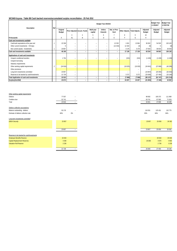### **WC048 Knysna - Table B8 Cash backed reserves/accumulated surplus reconciliation - 25 Feb 2016**

| Description                                | Ref            |                    |                          |                             |                          | Budget Year 2015/16      |                          |                               |                          |                           | <b>Budget Year</b><br>+1 2016/17 | <b>Budget Year</b><br>+2 2017/18 |
|--------------------------------------------|----------------|--------------------|--------------------------|-----------------------------|--------------------------|--------------------------|--------------------------|-------------------------------|--------------------------|---------------------------|----------------------------------|----------------------------------|
|                                            |                | Original<br>Budget |                          | Prior Adjusted Accum. Funds | Multi-year<br>capital    | Unfore.<br>Unavoid.      | Nat. or Prov.<br>Govt    | Other Adjusts. Total Adjusts. |                          | Adjusted<br><b>Budget</b> | Adjusted<br>Budget               | Adjusted<br>Budget               |
|                                            |                |                    | 3                        |                             | 5                        | 6                        |                          | 8                             | 9                        | 10                        |                                  |                                  |
| R thousands                                |                | Α                  | A1                       | B                           | $\mathbb C$              | D                        | E                        |                               | G                        | H                         |                                  |                                  |
| Cash and investments available             |                |                    |                          |                             |                          |                          |                          |                               |                          |                           |                                  |                                  |
| Cash/cash equivalents at the year end      |                | 22 3 38            | $\overline{\phantom{a}}$ | $\overline{\phantom{a}}$    | $\overline{\phantom{a}}$ | -                        | 12 3 3 3                 | 1631                          | 13 964                   | 36 302                    | 54 530                           | 103 103                          |
| Other current investments > 90 days        |                | $\Omega$           | $\overline{\phantom{a}}$ | ۰                           | $\overline{\phantom{a}}$ | $\overline{\phantom{a}}$ | (12333)                  | 12 3 3 3                      | (0)                      | (0)                       | $\Omega$                         | (0)                              |
| Non current assets - Investments           |                | 23 857             | $\overline{\phantom{0}}$ | $\equiv$                    | $\overline{\phantom{a}}$ | -                        |                          | 3 1 7 6                       | 3 1 7 6                  | 27 033                    | 30 033                           | 33 033                           |
| Cash and investments available:            |                | 46 195             | ۰.                       | $\overline{\phantom{a}}$    | $\overline{\phantom{a}}$ | $\overline{\phantom{0}}$ | $\overline{\phantom{0}}$ | 17 139                        | 17 139                   | 63 334                    | 84 563                           | 136 136                          |
| Applications of cash and investments       |                |                    |                          |                             |                          |                          |                          |                               |                          |                           |                                  |                                  |
| Unspent conditional transfers              |                | 1754               | $\overline{\phantom{a}}$ | $\overline{\phantom{a}}$    | $\overline{\phantom{a}}$ | -                        | $\overline{\phantom{a}}$ | (315)                         | (315)                    | (1439)                    | (1439)                           | (1439)                           |
| Unspent borrowing                          |                |                    |                          |                             |                          |                          |                          |                               |                          | $\sim$                    |                                  |                                  |
| Statutory requirements                     |                |                    |                          |                             |                          |                          |                          |                               |                          | $\sim$                    |                                  |                                  |
| Other working capital requirements         | $\overline{2}$ | (24816)            | $\overline{\phantom{0}}$ |                             |                          |                          |                          | (10025)                       | (10025)                  | (34841)                   | (37808)                          | (40289)                          |
| Other provisions                           |                |                    |                          |                             |                          |                          |                          |                               |                          | $\overline{\phantom{a}}$  |                                  |                                  |
| Long term investments committed            |                | 23 857             | $\overline{\phantom{a}}$ |                             |                          |                          |                          | $\overline{\phantom{a}}$      | $\overline{\phantom{a}}$ | (23857)                   | (25050)                          | (26 302)                         |
| Reserves to be backed by cash/investments  |                | 21 7 28            | $\overline{\phantom{a}}$ |                             |                          |                          |                          | 3 2 7 2                       | 3 2 7 2                  | (25000)                   | (27450)                          | (33184)                          |
| Total Application of cash and investments: |                | 22 5 23            | ۰.                       | $\overline{\phantom{a}}$    | -                        | $\overline{\phantom{m}}$ | $\overline{\phantom{m}}$ | (7068)                        | (7068)                   | (85137)                   | (91747)                          | (101 214)                        |
| Surplus(shortfall)                         |                | 23 672             | ۰.                       | ۰.                          | ۰                        | -                        | ۰                        | 24 207                        | 24 207                   | (21803)                   | (7185)                           | 34 922                           |

| Other working capital requirements        |         |                          |
|-------------------------------------------|---------|--------------------------|
| Debtors                                   | 77557   | $\overline{\phantom{a}}$ |
| Creditors due                             | 52 741  | $\overline{\phantom{a}}$ |
| Total                                     | 24 8 16 | $\overline{\phantom{a}}$ |
|                                           |         |                          |
| Debtors collection assumptions:           |         |                          |
| Balance outstanding - debtors             | 92 176  | $\overline{\phantom{a}}$ |
| Estimate of debtors collection rate       | 84%     | 0%                       |
|                                           |         |                          |
| Long term investments committed           |         |                          |
| <b>DBSA Security</b>                      | 23 857  |                          |
|                                           |         |                          |
|                                           |         |                          |
|                                           | 23 857  | $\sim$                   |
|                                           |         |                          |
| Reserves to be backed by cash/investments |         |                          |
| <b>Employee Benefits Reserve</b>          | 15 044  |                          |
| <b>Capital Replacement Reserves</b>       | 4 4 4 8 |                          |
| <b>Valuation Roll Reserve</b>             | 2 2 3 6 |                          |
|                                           |         |                          |
|                                           | 21 7 28 | $\overline{\phantom{a}}$ |
|                                           |         |                          |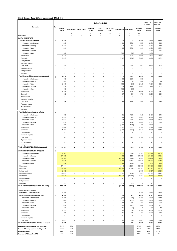# **WC048 Knysna - Table B9 Asset Management - 25 Feb 2016**

|                                                       |                |                    |                          |                             |                          | Budget Year 2015/16              |                                |                          |                        |                           | <b>Budget Year</b><br>+1 2016/17 | <b>Budget Year</b><br>+2 2017/18 |
|-------------------------------------------------------|----------------|--------------------|--------------------------|-----------------------------|--------------------------|----------------------------------|--------------------------------|--------------------------|------------------------|---------------------------|----------------------------------|----------------------------------|
| Description                                           | Ref            | Original<br>Budget |                          | Prior Adjusted Accum. Funds | Multi-year<br>capital    | Unfore.<br>Unavoid.              | Nat. or Prov.<br>Govt          | Other Adjusts.           | <b>Total Adjusts.</b>  | Adjusted<br><b>Budget</b> | Adjusted<br><b>Budget</b>        | Adjusted<br>Budget               |
| R thousands                                           |                | Α                  | 7<br>A1                  | 8<br>B                      | $\,9$<br>$\mathbb C$     | 10<br>D                          | 11<br>Ε                        | 12<br>F                  | 13<br>G                | 14<br>H                   |                                  |                                  |
| <b>CAPITAL EXPENDITURE</b>                            |                |                    |                          |                             |                          |                                  |                                |                          |                        |                           |                                  |                                  |
| Total New Assets to be adjusted                       | $\mathbf{1}$   | 67 544             | $\overline{a}$           | $\overline{\phantom{a}}$    | -                        |                                  |                                | 16                       | 16                     | 67560                     | 52 994                           | 43 656                           |
| Infrastructure - Road transport                       |                | 3 2 3 8            |                          |                             |                          |                                  |                                | 2 3 0 1                  | 2 3 0 1                | 5539                      | 2 4 5 0                          | 3 4 5 0                          |
| Infrastructure - Electricity                          |                | 14 640             | ÷                        |                             | Ē,                       |                                  |                                | 674                      | 674                    | 15 3 14                   | 4 3 6 6                          | 3 4 8 9                          |
| Infrastructure - Water                                |                | 6 2 4 1            | $\overline{a}$           | ۰                           | ÷                        | $\overline{\phantom{0}}$         |                                | 2 9 0 0                  | 2 9 0 0                | 9 1 4 1                   | 14 921                           | 16 021                           |
| Infrastructure - Sanitation<br>Infrastructure - Other |                | 1 4 3 0            | ÷,<br>L,                 | L.                          | -<br>L,                  | $\overline{a}$<br>$\overline{a}$ | $\overline{a}$<br>L,           | (600)                    | (600)                  | 830                       | 2 1 6 4<br>1 0 0 0               | 1 1 6 4                          |
| Infrastructure                                        |                | 25 549             | $\overline{a}$           | $\qquad \qquad -$           | $\overline{\phantom{0}}$ | $\overline{a}$                   | $\overline{\phantom{a}}$       | 5 2 7 6                  | 5 2 7 6                | 30 825                    | 24 901                           | 24 124                           |
| Community                                             |                | 36 245             | $\overline{a}$           | $\overline{a}$              | $\overline{a}$           | $\overline{a}$                   | $\overline{a}$                 | (7807)                   | (7807)                 | 28 4 38                   | 22 0 29                          | 16 522                           |
| Heritage assets                                       |                |                    | ÷                        | ۰                           | L,                       | $\equiv$                         |                                | $\overline{\phantom{0}}$ | ÷                      |                           |                                  | ۰                                |
| Investment properties                                 |                | Ē,                 | L.                       |                             | -                        | $\equiv$                         | $\overline{a}$                 | $\overline{a}$           | ÷,                     | L,                        | $\overline{a}$                   | $\overline{a}$                   |
| Other assets                                          | 6              | 5 7 5 0            | L,                       |                             | L,                       |                                  |                                | 2547                     | 2547                   | 8 2 9 7                   | 6064                             | 3 0 1 0                          |
| <b>Agricultural Assets</b>                            |                |                    |                          |                             |                          |                                  |                                |                          |                        |                           |                                  |                                  |
| Biological assets<br>Intangibles                      |                | ÷<br>Ē,            | L,<br>$\overline{a}$     |                             | Ē,<br>Ē,                 | Ĭ.                               |                                | ÷                        | Ē,<br>$\overline{a}$   | Ē,                        |                                  | ۰                                |
| Total Renewal of Existing Assets to be adjusted       |                |                    |                          |                             |                          |                                  |                                |                          |                        |                           |                                  |                                  |
| Infrastructure - Road transport                       | $\overline{2}$ | 35 139<br>600      |                          |                             |                          |                                  |                                | 5 1 1 2<br>2 0 0 0       | 5 1 1 2<br>2 0 0 0     | 40 250<br>2600            | 17 24 6                          | 15 3 36                          |
| Infrastructure - Electricity                          |                | 3 600              | L.                       |                             | L,                       |                                  |                                | 69                       | 69                     | 3669                      | 2 2 0 0                          | 800                              |
| Infrastructure - Water                                |                | 14 4 36            | ÷                        |                             | Ē,                       | $\overline{\phantom{0}}$         |                                | (256)                    | (256)                  | 14 180                    | 7 1 2 9                          | 6054                             |
| Infrastructure - Sanitation                           |                | 8 2 2 9            | $\overline{a}$           | $\overline{a}$              | -                        | $\overline{a}$                   | $\overline{a}$                 | 1838                     | 1838                   | 10 0 67                   | 1018                             | 1018                             |
| Infrastructure - Other                                |                | 600                | ä,                       | $\overline{a}$              | L.                       | $\equiv$                         | $\overline{a}$                 | (600)                    | (600)                  |                           | ÷                                |                                  |
| Infrastructure                                        |                | 27 465             | $\overline{\phantom{a}}$ | $\qquad \qquad -$           | $\overline{\phantom{a}}$ | $\equiv$                         | $\overline{\phantom{a}}$       | 3 0 5 1                  | 3 0 5 1                | 30 516                    | 10 347                           | 7872                             |
| Community                                             |                | 4819               | $\equiv$                 | $\overline{a}$              | -                        | $\equiv$                         | ÷                              | 897                      | 897                    | 5716                      | 3 2 5 9                          | 2 9 0 9                          |
| Heritage assets                                       |                |                    | $\overline{a}$           | $\qquad \qquad -$           | ÷                        | $\overline{\phantom{0}}$         |                                |                          |                        |                           |                                  |                                  |
| Investment properties                                 |                |                    | ÷,                       |                             | Ĭ.                       | $\overline{a}$                   |                                |                          | L,                     |                           |                                  |                                  |
| Other assets<br><b>Agricultural Assets</b>            | 6              | 2855               | L,                       |                             | L,                       |                                  |                                | 1 1 6 4                  | 1 1 6 4                | 4019                      | 3 6 4 0                          | 4555                             |
| Biological assets                                     |                | $\overline{a}$     | L.                       |                             | L,                       | L.                               |                                | ÷                        |                        |                           | ÷                                | $\equiv$                         |
| Intangibles                                           |                | L,                 |                          | $\overline{a}$              | L,                       | $\equiv$                         |                                |                          | Ē,                     |                           |                                  |                                  |
| Total Capital Expenditure to be adjusted              | 4              |                    |                          |                             |                          |                                  |                                |                          |                        |                           |                                  |                                  |
| Infrastructure - Road transport                       |                | 3838               | $\overline{a}$           |                             |                          |                                  |                                | 4 3 0 1                  | 4 3 0 1                | 8 1 3 9                   | 2 4 5 0                          | 3 4 5 0                          |
| Infrastructure - Electricity                          |                | 18 240             | -                        |                             |                          |                                  |                                | 743                      | 743                    | 18 9 83                   | 6566                             | 4 2 8 9                          |
| Infrastructure - Water                                |                | 20 677             | ÷                        |                             | Ē,                       | ÷                                |                                | 2644                     | 2644                   | 23 3 21                   | 22 050                           | 22 075                           |
| Infrastructure - Sanitation                           |                | 8 2 2 9            | ÷,                       | $\qquad \qquad -$           | -                        | $\qquad \qquad -$                | $\overline{\phantom{0}}$       | 1838                     | 1838                   | 10067                     | 3 1 8 2                          | 2 1 8 2                          |
| Infrastructure - Other                                |                | 2 0 3 0            | ä,                       | ÷                           | L.                       | L.                               | ÷,                             | (1200)                   | (1200)                 | 830                       | 1 0 0 0                          |                                  |
| Infrastructure                                        |                | 53 014             | $\overline{a}$           | L.                          | L,                       | $\overline{a}$                   | $\bar{a}$                      | 8 3 2 7                  | 8 3 2 7                | 61 340                    | 35 248                           | 31 996                           |
| Community                                             |                | 41 064             |                          |                             |                          |                                  |                                | (6910)                   | (6910)                 | 34 154                    | 25 288                           | 19 431                           |
| Heritage assets                                       |                |                    | ÷                        | ۰                           | L,                       | $\overline{a}$                   |                                | ÷                        | ÷                      | ۳                         |                                  |                                  |
| Investment properties<br>Other assets                 |                | 8 6 0 5            | L.<br>L,                 | ۰                           | L,<br>L,                 | $\equiv$<br>L.                   | ÷,<br>$\overline{\phantom{a}}$ | 3711                     | $\overline{a}$<br>3711 | 12 3 16                   | ٠<br>9 7 0 4                     | ۰<br>7565                        |
| Agricultural Assets                                   |                | Ē,                 | ÷                        | ۰                           | Ē,                       | L.                               |                                |                          | Ē,                     |                           |                                  |                                  |
| Biological assets                                     |                | $\overline{a}$     | -                        |                             |                          |                                  |                                |                          | L,                     |                           | $\overline{\phantom{0}}$         |                                  |
| Intangibles                                           |                | $\overline{a}$     | $\overline{a}$           | $\overline{a}$              | $\overline{a}$           | $\sim$                           | $\overline{a}$                 |                          | ٠                      |                           |                                  |                                  |
| TOTAL CAPITAL EXPENDITURE to be adjusted              | $\sqrt{2}$     | 102 683            | $\blacksquare$           | $\overline{\phantom{a}}$    | $\overline{\phantom{a}}$ | $\blacksquare$                   | $\overline{\phantom{a}}$       | 5 1 2 8                  | 5 1 2 8                | 107810                    | 70 240                           | 58 992                           |
| ASSET REGISTER SUMMARY - PPE (WDV)                    | 5              |                    |                          |                             |                          |                                  |                                |                          |                        |                           |                                  |                                  |
| Infrastructure - Road transport                       |                | 87 093             |                          |                             |                          |                                  |                                | 20 450                   | 20 450                 | 107543                    | 102 570                          | 98 093                           |
| Infrastructure - Electricity                          |                | 174 235            |                          |                             |                          |                                  |                                | 1 1 0 3                  | 1 1 0 3                | 175 339                   | 176 452                          | 174 918                          |
| Infrastructure - Water                                |                | 222 500            |                          |                             |                          |                                  |                                | (38185)                  | (38185)                | 184 315                   | 199 066                          | 213 348                          |
| Infrastructure - Sanitation                           |                | 90 428             |                          |                             |                          |                                  |                                | 30 162                   | 30 162                 | 120 590                   | 119 196                          | 116 491                          |
| Infrastructure - Other                                |                | 4 1 4 8            |                          |                             |                          |                                  |                                | (1584)                   | (1584)                 | 2564                      | 3 4 0 4                          | 3 2 3 4                          |
| Infrastructure<br>Community                           |                | 578 404<br>111 898 | $\equiv$                 | $\overline{\phantom{a}}$    | $\equiv$                 | $\overline{\phantom{a}}$         | $\bar{ }$                      | 11 946<br>165 103        | 11 946<br>165 103      | 590 350<br>277 001        | 600 688<br>301 777               | 606 084<br>320 662               |
| Heritage assets                                       |                | 19 053             |                          |                             |                          |                                  |                                | $\overline{4}$           | 4                      | 19057                     | 19 057                           | 19 05 7                          |
| Investment properties                                 |                | 110 321            | $\overline{a}$           | $\sim$                      | $\equiv$                 | $\sim$                           | $\qquad \qquad -$              | (7000)                   | (7000)                 | 103 321                   | 103 321                          | 103 321                          |
| Other assets                                          |                | 250 414            |                          |                             |                          |                                  |                                | (193 132)                | (193132)               | 57 28 2                   | 59 863                           | 59 825                           |
| <b>Agricultural Assets</b>                            |                | ÷                  | $\equiv$                 | $\overline{a}$              | $\equiv$                 | $\equiv$                         | ٠                              | $\qquad \qquad -$        | $\overline{a}$         | L,                        |                                  |                                  |
| <b>Biological assets</b>                              |                | $\overline{a}$     |                          |                             |                          | $\overline{a}$                   |                                |                          | $\overline{a}$         |                           |                                  |                                  |
| Intangibles                                           |                | 700                | $\overline{a}$           | $\equiv$                    | $\overline{a}$           | $\sim$                           | $\overline{a}$                 | (673)                    | (673)                  | 27                        | 27                               | 27                               |
| TOTAL ASSET REGISTER SUMMARY - PPE (WDV)              | 5              | 1070790            | $\blacksquare$           | $\equiv$                    | $\sim$                   | $\equiv$                         | $\overline{\phantom{a}}$       | (23753)                  | (23753)                | 1 047 037                 | 1084 734                         | 1 108 977                        |
| <b>EXPENDITURE OTHER ITEMS</b>                        |                |                    |                          |                             |                          |                                  |                                |                          |                        |                           |                                  |                                  |
| Depreciation & asset impairment                       |                | 25 918             | ÷                        | $\qquad \qquad -$           | -                        | ÷                                |                                |                          |                        | 25 918                    | 32 544                           | 34 749                           |
| Repairs and Maintenance by asset class                | 3              | 42 968             | $\overline{\phantom{a}}$ | $\overline{a}$              | $\overline{a}$           | ÷,                               | $\bar{\phantom{a}}$            | 770                      | 770                    | 43738                     | 44 117                           | 46 655                           |
| Infrastructure - Road transport                       |                | 15 936             | $\overline{\phantom{a}}$ | $\overline{\phantom{a}}$    | $\bar{ }$                | $\overline{\phantom{a}}$         | $\bar{ }$                      | (908)                    | (908)                  | 15 0 29                   | 11 682                           | 12 480                           |
| Infrastructure - Electricity                          |                | 6 6 3 9            | $\equiv$                 | $\overline{a}$              | $\overline{a}$           | $\overline{a}$                   | ٠                              | (1570)                   | (1570)                 | 5 0 6 9                   | 9 4 8 6                          | 10 14 6                          |
| Infrastructure - Water                                |                | 5 1 8 5            | ÷,<br>$\overline{a}$     | $\overline{a}$<br>÷,        | 2<br>L.                  | $\overline{a}$<br>$\overline{a}$ | $\overline{a}$                 | 687<br>2 4 2 0           | 687<br>2 4 2 0         | 5872<br>5582              | 5 5 4 8<br>3 3 8 4               | 5 9 3 7<br>3 6 21                |
| Infrastructure - Sanitation<br>Infrastructure - Other |                | 3 1 6 2<br>181     | $\sim$                   | $\overline{\phantom{a}}$    | $\overline{a}$           | ÷,                               | $\overline{a}$                 | (65)                     | (65)                   | 116                       | 400                              | 400                              |
| Infrastructure                                        |                | 31 103             | $\equiv$                 | $\equiv$                    | $\equiv$                 | $\overline{\phantom{a}}$         | $\sim$                         | 565                      | 565                    | 31 668                    | 30 500                           | 32 583                           |
| Community                                             |                | 1 0 9 9            | $\equiv$                 | $\overline{\phantom{a}}$    | $\overline{a}$           | $\sim$                           | ٠                              | 285                      | 285                    | 1384                      | 1 1 2 4                          | 1 1 2 4                          |
| Heritage assets                                       |                | ٠                  | $\overline{\phantom{0}}$ | $\overline{a}$              | -                        | $\overline{a}$                   |                                | $\qquad \qquad -$        | -                      | -                         |                                  | -                                |
| Investment properties                                 |                | L,                 | -                        | $\overline{a}$              | -                        | $\overline{a}$                   | $\overline{a}$                 | $\equiv$                 | $\overline{a}$         |                           |                                  |                                  |
| Other assets                                          | 6              | 10 765             | $\sim$                   | $\overline{\phantom{a}}$    | $\overline{\phantom{a}}$ | ÷,                               | $\bar{a}$                      | (80)                     | (80)                   | 10 6 85                   | 12 493                           | 12 948                           |
| TOTAL EXPENDITURE OTHER ITEMS to be adjusted          |                | 68 886             | $\sim$                   | $\overline{\phantom{a}}$    | $\sim$                   | $\sim$                           | $\sim$                         | 770                      | 770                    | 69 656                    | 76 661                           | 81 404                           |
| Renewal of Existing Assets as % of total capex        |                | 34.2%              | 0.0%                     |                             |                          |                                  |                                |                          |                        | 37.3%                     | 24.6%                            | 26.0%                            |
| Renewal of Existing Assets as % of deprecn"           |                | 135.6%             | 0.0%                     |                             |                          |                                  |                                |                          |                        | 155.3%                    | 53.0%                            | 44.1%                            |
| R&M as a % of PPE                                     |                | 4.0%               | 0.0%                     |                             |                          |                                  |                                |                          |                        | 4.2%                      | 4.1%                             | 4.2%                             |
| Renewal and R&M as a % of PPE                         |                | 7.3%               | 0.0%                     |                             |                          |                                  |                                |                          |                        | 8.0%                      | 5.7%                             | 5.6%                             |